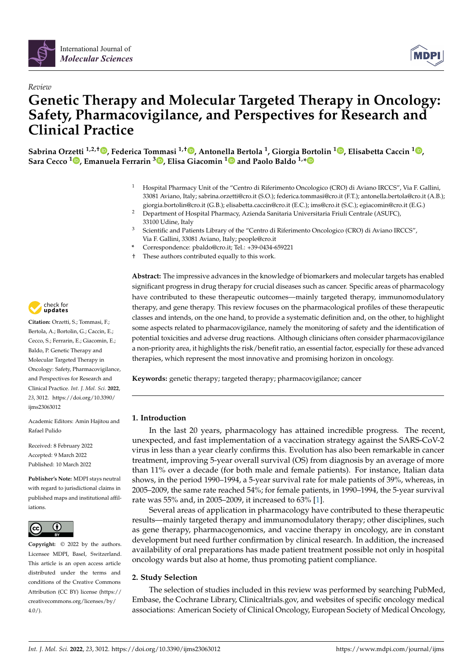

*Review*



# **Genetic Therapy and Molecular Targeted Therapy in Oncology: Safety, Pharmacovigilance, and Perspectives for Research and Clinical Practice**

**Sabrina Orzetti 1,2,† [,](https://orcid.org/0000-0001-5171-7499) Federica Tommasi 1,† [,](https://orcid.org/0000-0001-7590-7043) Antonella Bertola <sup>1</sup> , Giorgia Bortolin <sup>1</sup> [,](https://orcid.org/0000-0001-8921-3093) Elisabetta Caccin <sup>1</sup> [,](https://orcid.org/0000-0002-4845-3370) Sara Cecco <sup>1</sup> [,](https://orcid.org/0000-0002-0656-7521) Emanuela Ferrarin <sup>3</sup> [,](https://orcid.org/0000-0002-5327-5433) Elisa Giacomin [1](https://orcid.org/0000-0002-0138-7783) and Paolo Baldo 1,[\\*](https://orcid.org/0000-0002-5106-7120)**

- <sup>1</sup> Hospital Pharmacy Unit of the "Centro di Riferimento Oncologico (CRO) di Aviano IRCCS", Via F. Gallini, 33081 Aviano, Italy; sabrina.orzetti@cro.it (S.O.); federica.tommasi@cro.it (F.T.); antonella.bertola@cro.it (A.B.); giorgia.bortolin@cro.it (G.B.); elisabetta.caccin@cro.it (E.C.); ims@cro.it (S.C.); egiacomin@cro.it (E.G.)
- <sup>2</sup> Department of Hospital Pharmacy, Azienda Sanitaria Universitaria Friuli Centrale (ASUFC), 33100 Udine, Italy
- <sup>3</sup> Scientific and Patients Library of the "Centro di Riferimento Oncologico (CRO) di Aviano IRCCS", Via F. Gallini, 33081 Aviano, Italy; people@cro.it
- **\*** Correspondence: pbaldo@cro.it; Tel.: +39-0434-659221
- † These authors contributed equally to this work.

**Abstract:** The impressive advances in the knowledge of biomarkers and molecular targets has enabled significant progress in drug therapy for crucial diseases such as cancer. Specific areas of pharmacology have contributed to these therapeutic outcomes—mainly targeted therapy, immunomodulatory therapy, and gene therapy. This review focuses on the pharmacological profiles of these therapeutic classes and intends, on the one hand, to provide a systematic definition and, on the other, to highlight some aspects related to pharmacovigilance, namely the monitoring of safety and the identification of potential toxicities and adverse drug reactions. Although clinicians often consider pharmacovigilance a non-priority area, it highlights the risk/benefit ratio, an essential factor, especially for these advanced therapies, which represent the most innovative and promising horizon in oncology.

**Keywords:** genetic therapy; targeted therapy; pharmacovigilance; cancer

# **1. Introduction**

In the last 20 years, pharmacology has attained incredible progress. The recent, unexpected, and fast implementation of a vaccination strategy against the SARS-CoV-2 virus in less than a year clearly confirms this. Evolution has also been remarkable in cancer treatment, improving 5-year overall survival (OS) from diagnosis by an average of more than 11% over a decade (for both male and female patients). For instance, Italian data shows, in the period 1990–1994, a 5-year survival rate for male patients of 39%, whereas, in 2005–2009, the same rate reached 54%; for female patients, in 1990–1994, the 5-year survival rate was 55% and, in 2005–2009, it increased to 63% [\[1\]](#page-23-0).

Several areas of application in pharmacology have contributed to these therapeutic results—mainly targeted therapy and immunomodulatory therapy; other disciplines, such as gene therapy, pharmacogenomics, and vaccine therapy in oncology, are in constant development but need further confirmation by clinical research. In addition, the increased availability of oral preparations has made patient treatment possible not only in hospital oncology wards but also at home, thus promoting patient compliance.

# **2. Study Selection**

The selection of studies included in this review was performed by searching PubMed, Embase, the Cochrane Library, Clinicaltrials.gov, and websites of specific oncology medical associations: American Society of Clinical Oncology, European Society of Medical Oncology,



**Citation:** Orzetti, S.; Tommasi, F.; Bertola, A.; Bortolin, G.; Caccin, E.; Cecco, S.; Ferrarin, E.; Giacomin, E.; Baldo, P. Genetic Therapy and Molecular Targeted Therapy in Oncology: Safety, Pharmacovigilance, and Perspectives for Research and Clinical Practice. *Int. J. Mol. Sci.* **2022**, *23*, 3012. [https://doi.org/10.3390/](https://doi.org/10.3390/ijms23063012) [ijms23063012](https://doi.org/10.3390/ijms23063012)

Academic Editors: Amin Hajitou and Rafael Pulido

Received: 8 February 2022 Accepted: 9 March 2022 Published: 10 March 2022

**Publisher's Note:** MDPI stays neutral with regard to jurisdictional claims in published maps and institutional affiliations.



**Copyright:** © 2022 by the authors. Licensee MDPI, Basel, Switzerland. This article is an open access article distributed under the terms and conditions of the Creative Commons Attribution (CC BY) license [\(https://](https://creativecommons.org/licenses/by/4.0/) [creativecommons.org/licenses/by/](https://creativecommons.org/licenses/by/4.0/)  $4.0/$ ).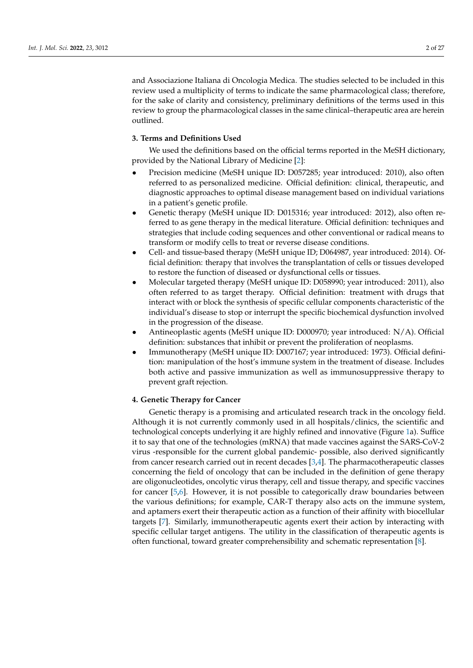and Associazione Italiana di Oncologia Medica. The studies selected to be included in this review used a multiplicity of terms to indicate the same pharmacological class; therefore, for the sake of clarity and consistency, preliminary definitions of the terms used in this review to group the pharmacological classes in the same clinical–therapeutic area are herein outlined.

# **3. Terms and Definitions Used**

We used the definitions based on the official terms reported in the MeSH dictionary, provided by the National Library of Medicine [\[2\]](#page-23-1):

- Precision medicine (MeSH unique ID: D057285; year introduced: 2010), also often referred to as personalized medicine. Official definition: clinical, therapeutic, and diagnostic approaches to optimal disease management based on individual variations in a patient's genetic profile.
- Genetic therapy (MeSH unique ID: D015316; year introduced: 2012), also often referred to as gene therapy in the medical literature. Official definition: techniques and strategies that include coding sequences and other conventional or radical means to transform or modify cells to treat or reverse disease conditions.
- Cell- and tissue-based therapy (MeSH unique ID; D064987, year introduced: 2014). Official definition: therapy that involves the transplantation of cells or tissues developed to restore the function of diseased or dysfunctional cells or tissues.
- Molecular targeted therapy (MeSH unique ID: D058990; year introduced: 2011), also often referred to as target therapy. Official definition: treatment with drugs that interact with or block the synthesis of specific cellular components characteristic of the individual's disease to stop or interrupt the specific biochemical dysfunction involved in the progression of the disease.
- Antineoplastic agents (MeSH unique ID: D000970; year introduced: N/A). Official definition: substances that inhibit or prevent the proliferation of neoplasms.
- Immunotherapy (MeSH unique ID: D007167; year introduced: 1973). Official definition: manipulation of the host's immune system in the treatment of disease. Includes both active and passive immunization as well as immunosuppressive therapy to prevent graft rejection.

#### **4. Genetic Therapy for Cancer**

Genetic therapy is a promising and articulated research track in the oncology field. Although it is not currently commonly used in all hospitals/clinics, the scientific and technological concepts underlying it are highly refined and innovative (Figure [1a](#page-2-0)). Suffice it to say that one of the technologies (mRNA) that made vaccines against the SARS-CoV-2 virus -responsible for the current global pandemic- possible, also derived significantly from cancer research carried out in recent decades [\[3,](#page-23-2)[4\]](#page-23-3). The pharmacotherapeutic classes concerning the field of oncology that can be included in the definition of gene therapy are oligonucleotides, oncolytic virus therapy, cell and tissue therapy, and specific vaccines for cancer [\[5,](#page-23-4)[6\]](#page-23-5). However, it is not possible to categorically draw boundaries between the various definitions; for example, CAR-T therapy also acts on the immune system, and aptamers exert their therapeutic action as a function of their affinity with biocellular targets [\[7\]](#page-23-6). Similarly, immunotherapeutic agents exert their action by interacting with specific cellular target antigens. The utility in the classification of therapeutic agents is often functional, toward greater comprehensibility and schematic representation [\[8\]](#page-23-7).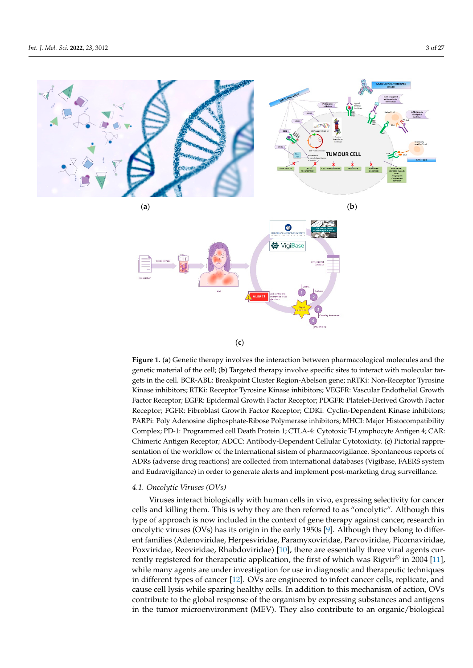<span id="page-2-0"></span>

(**c**)

extination<br>gets in the cell. BCR-ABL: Breakpoint Cluster Region-Abelson gene; nRTKi: Non-Receptor Tyrosine o<br>Kinase inhibitors; RTKi: Receptor Tyrosine Kinase inhibitors; VEGFR: Vascular Endothelial Growth targets in the cell. BCR-ABL: Break point Cluster Region-Abelson gener; new contraction-Tyrosine Kinase inhibitors; RTKi: Receptor Tyrosine Kinase inhibitors; VEGFR: Vascular Factor Receptor; EGFR: Epidermal Growth Factor Receptor; PDGFR: Platelet-Derived Growth Factor Receptor; FGFR: Fibroblast Growth Factor Receptor; CDKi: Cyclin-Dependent Kinase inhibitors; PARPi: Poly Adenosine diphosphate-Ribose Polymerase inhibitors; MHCI: Major Histocompatibility Complex; PD-1: Programmed cell Death Protein 1; CTLA-4: Cytotoxic T-Lymphocyte Antigen 4; CAR: Chimeric Antigen Receptor; ADCC: Antibody-Dependent Cellular Cytotoxicity. (c) Pictorial rappresentation of the workflow of the International sistem of pharmacovigilance. Spontaneous reports of ADRs (adverse drug reactions) are collected from international databases (Vigibase, FAERS system  $\Gamma$  International signation of  $\Gamma$  pharmacovidination of  $\Gamma$  and  $\Gamma$  and  $\Gamma$ and Eudravigilance) in order to generate alerts and implement post-marketing drug surveillance.<br>. **Figure 1.** (**a**) Genetic therapy involves the interaction between pharmacological molecules and the genetic material of the cell; (**b**) Targeted therapy involve specific sites to interact with molecular tar-

# to generate alerts and implement post-marketing drug surveillance. *4.1. Oncolytic Viruses (OVs)*

*4.1. Oncolytic Viruses (OVs)*  cells and killing them. This is why they are then referred to as "oncolytic". Although this type of approach is now included in the context of gene therapy against cancer, research in oncolytic viruses (OVs) has its origin in th[e](#page-23-8) early 1950s [9]. Although they belong to different families (Adenoviridae, Herpesviridae, Paramyxoviridae, Parvoviridae, Picornaviridae, Poxviridae, Reoviridae, Rhabdoviridae) [10], there are essentially three viral agents currently registered for therapeutic application, the first of which was Rigvir $^{\circledR}$  in 2004 [11], while many agents are under investigation for use in diagnostic and therapeutic techniques in different types of cancer [12]. OVs are engineered to infect cancer cells, replicate, and cause cell lysis while sparing healthy cells. In addition to this mechanism of action, OVs contribute to the global response of the organism by expressing substances and antigens in the tumor microenvironment (MEV). They also contribute to an organic/biological Viruses interact biologically with human cells in vivo, expressing selectivity for cancer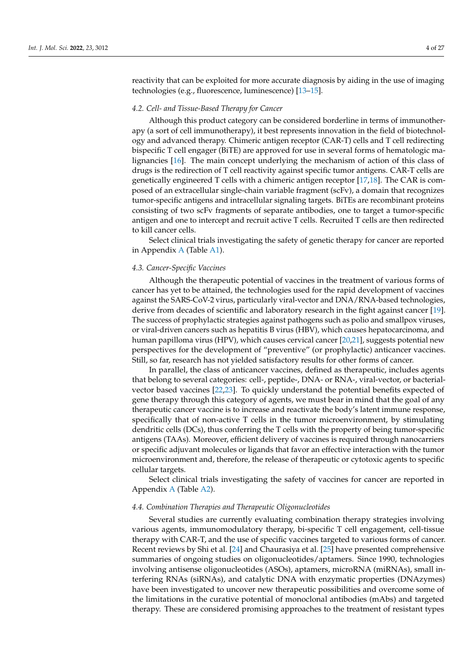reactivity that can be exploited for more accurate diagnosis by aiding in the use of imaging technologies (e.g., fluorescence, luminescence) [\[13–](#page-23-12)[15\]](#page-23-13).

#### *4.2. Cell- and Tissue-Based Therapy for Cancer*

Although this product category can be considered borderline in terms of immunotherapy (a sort of cell immunotherapy), it best represents innovation in the field of biotechnology and advanced therapy. Chimeric antigen receptor (CAR-T) cells and T cell redirecting bispecific T cell engager (BiTE) are approved for use in several forms of hematologic malignancies [\[16\]](#page-23-14). The main concept underlying the mechanism of action of this class of drugs is the redirection of T cell reactivity against specific tumor antigens. CAR-T cells are genetically engineered T cells with a chimeric antigen receptor [\[17](#page-23-15)[,18\]](#page-23-16). The CAR is composed of an extracellular single-chain variable fragment (scFv), a domain that recognizes tumor-specific antigens and intracellular signaling targets. BiTEs are recombinant proteins consisting of two scFv fragments of separate antibodies, one to target a tumor-specific antigen and one to intercept and recruit active T cells. Recruited T cells are then redirected to kill cancer cells.

Select clinical trials investigating the safety of genetic therapy for cancer are reported in Appendix [A](#page-13-0) (Table [A1\)](#page-16-0).

#### *4.3. Cancer-Specific Vaccines*

Although the therapeutic potential of vaccines in the treatment of various forms of cancer has yet to be attained, the technologies used for the rapid development of vaccines against the SARS-CoV-2 virus, particularly viral-vector and DNA/RNA-based technologies, derive from decades of scientific and laboratory research in the fight against cancer [\[19\]](#page-23-17). The success of prophylactic strategies against pathogens such as polio and smallpox viruses, or viral-driven cancers such as hepatitis B virus (HBV), which causes hepatocarcinoma, and human papilloma virus (HPV), which causes cervical cancer [\[20,](#page-23-18)[21\]](#page-23-19), suggests potential new perspectives for the development of "preventive" (or prophylactic) anticancer vaccines. Still, so far, research has not yielded satisfactory results for other forms of cancer.

In parallel, the class of anticancer vaccines, defined as therapeutic, includes agents that belong to several categories: cell-, peptide-, DNA- or RNA-, viral-vector, or bacterialvector based vaccines [\[22,](#page-23-20)[23\]](#page-23-21). To quickly understand the potential benefits expected of gene therapy through this category of agents, we must bear in mind that the goal of any therapeutic cancer vaccine is to increase and reactivate the body's latent immune response, specifically that of non-active T cells in the tumor microenvironment, by stimulating dendritic cells (DCs), thus conferring the T cells with the property of being tumor-specific antigens (TAAs). Moreover, efficient delivery of vaccines is required through nanocarriers or specific adjuvant molecules or ligands that favor an effective interaction with the tumor microenvironment and, therefore, the release of therapeutic or cytotoxic agents to specific cellular targets.

Select clinical trials investigating the safety of vaccines for cancer are reported in Appendix [A](#page-13-0) (Table [A2\)](#page-18-0).

#### *4.4. Combination Therapies and Therapeutic Oligonucleotides*

Several studies are currently evaluating combination therapy strategies involving various agents, immunomodulatory therapy, bi-specific T cell engagement, cell-tissue therapy with CAR-T, and the use of specific vaccines targeted to various forms of cancer. Recent reviews by Shi et al. [\[24\]](#page-23-22) and Chaurasiya et al. [\[25\]](#page-23-23) have presented comprehensive summaries of ongoing studies on oligonucleotides/aptamers. Since 1990, technologies involving antisense oligonucleotides (ASOs), aptamers, microRNA (miRNAs), small interfering RNAs (siRNAs), and catalytic DNA with enzymatic properties (DNAzymes) have been investigated to uncover new therapeutic possibilities and overcome some of the limitations in the curative potential of monoclonal antibodies (mAbs) and targeted therapy. These are considered promising approaches to the treatment of resistant types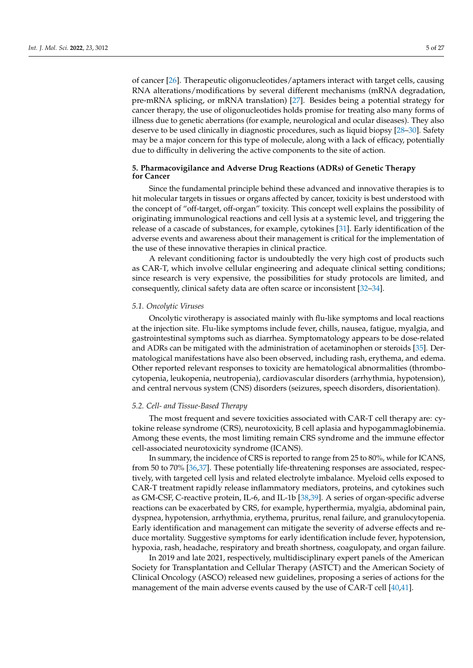of cancer [\[26\]](#page-23-24). Therapeutic oligonucleotides/aptamers interact with target cells, causing RNA alterations/modifications by several different mechanisms (mRNA degradation, pre-mRNA splicing, or mRNA translation) [\[27\]](#page-23-25). Besides being a potential strategy for cancer therapy, the use of oligonucleotides holds promise for treating also many forms of illness due to genetic aberrations (for example, neurological and ocular diseases). They also deserve to be used clinically in diagnostic procedures, such as liquid biopsy [\[28](#page-23-26)[–30\]](#page-23-27). Safety may be a major concern for this type of molecule, along with a lack of efficacy, potentially due to difficulty in delivering the active components to the site of action.

# **5. Pharmacovigilance and Adverse Drug Reactions (ADRs) of Genetic Therapy for Cancer**

Since the fundamental principle behind these advanced and innovative therapies is to hit molecular targets in tissues or organs affected by cancer, toxicity is best understood with the concept of "off-target, off-organ" toxicity. This concept well explains the possibility of originating immunological reactions and cell lysis at a systemic level, and triggering the release of a cascade of substances, for example, cytokines [\[31\]](#page-23-28). Early identification of the adverse events and awareness about their management is critical for the implementation of the use of these innovative therapies in clinical practice.

A relevant conditioning factor is undoubtedly the very high cost of products such as CAR-T, which involve cellular engineering and adequate clinical setting conditions; since research is very expensive, the possibilities for study protocols are limited, and consequently, clinical safety data are often scarce or inconsistent [\[32](#page-24-0)[–34\]](#page-24-1).

#### *5.1. Oncolytic Viruses*

Oncolytic virotherapy is associated mainly with flu-like symptoms and local reactions at the injection site. Flu-like symptoms include fever, chills, nausea, fatigue, myalgia, and gastrointestinal symptoms such as diarrhea. Symptomatology appears to be dose-related and ADRs can be mitigated with the administration of acetaminophen or steroids [\[35\]](#page-24-2). Dermatological manifestations have also been observed, including rash, erythema, and edema. Other reported relevant responses to toxicity are hematological abnormalities (thrombocytopenia, leukopenia, neutropenia), cardiovascular disorders (arrhythmia, hypotension), and central nervous system (CNS) disorders (seizures, speech disorders, disorientation).

#### *5.2. Cell- and Tissue-Based Therapy*

The most frequent and severe toxicities associated with CAR-T cell therapy are: cytokine release syndrome (CRS), neurotoxicity, B cell aplasia and hypogammaglobinemia. Among these events, the most limiting remain CRS syndrome and the immune effector cell-associated neurotoxicity syndrome (ICANS).

In summary, the incidence of CRS is reported to range from 25 to 80%, while for ICANS, from 50 to 70% [\[36](#page-24-3)[,37\]](#page-24-4). These potentially life-threatening responses are associated, respectively, with targeted cell lysis and related electrolyte imbalance. Myeloid cells exposed to CAR-T treatment rapidly release inflammatory mediators, proteins, and cytokines such as GM-CSF, C-reactive protein, IL-6, and IL-1b [\[38](#page-24-5)[,39\]](#page-24-6). A series of organ-specific adverse reactions can be exacerbated by CRS, for example, hyperthermia, myalgia, abdominal pain, dyspnea, hypotension, arrhythmia, erythema, pruritus, renal failure, and granulocytopenia. Early identification and management can mitigate the severity of adverse effects and reduce mortality. Suggestive symptoms for early identification include fever, hypotension, hypoxia, rash, headache, respiratory and breath shortness, coagulopaty, and organ failure.

In 2019 and late 2021, respectively, multidisciplinary expert panels of the American Society for Transplantation and Cellular Therapy (ASTCT) and the American Society of Clinical Oncology (ASCO) released new guidelines, proposing a series of actions for the management of the main adverse events caused by the use of CAR-T cell [\[40](#page-24-7)[,41\]](#page-24-8).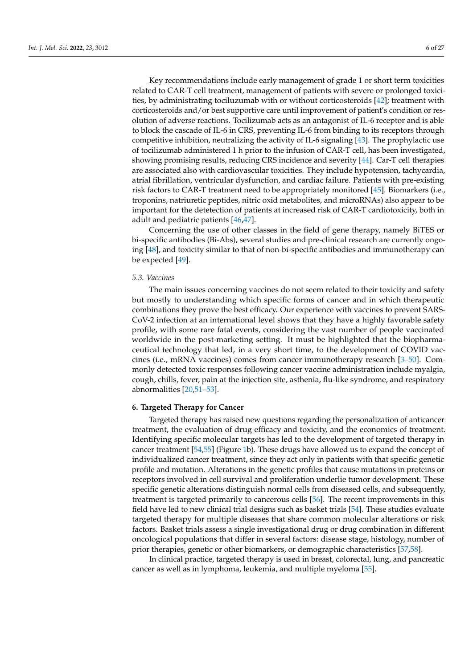Key recommendations include early management of grade 1 or short term toxicities related to CAR-T cell treatment, management of patients with severe or prolonged toxicities, by administrating tociluzumab with or without corticosteroids [\[42\]](#page-24-9); treatment with corticosteroids and/or best supportive care until improvement of patient's condition or resolution of adverse reactions. Tocilizumab acts as an antagonist of IL-6 receptor and is able to block the cascade of IL-6 in CRS, preventing IL-6 from binding to its receptors through competitive inhibition, neutralizing the activity of IL-6 signaling [\[43\]](#page-24-10). The prophylactic use of tocilizumab administered 1 h prior to the infusion of CAR-T cell, has been investigated, showing promising results, reducing CRS incidence and severity [\[44\]](#page-24-11). Car-T cell therapies are associated also with cardiovascular toxicities. They include hypotension, tachycardia, atrial fibrillation, ventricular dysfunction, and cardiac failure. Patients with pre-existing risk factors to CAR-T treatment need to be appropriately monitored [\[45\]](#page-24-12). Biomarkers (i.e., troponins, natriuretic peptides, nitric oxid metabolites, and microRNAs) also appear to be important for the detetection of patients at increased risk of CAR-T cardiotoxicity, both in adult and pediatric patients [\[46,](#page-24-13)[47\]](#page-24-14).

Concerning the use of other classes in the field of gene therapy, namely BiTES or bi-specific antibodies (Bi-Abs), several studies and pre-clinical research are currently ongoing [\[48\]](#page-24-15), and toxicity similar to that of non-bi-specific antibodies and immunotherapy can be expected [\[49\]](#page-24-16).

#### *5.3. Vaccines*

The main issues concerning vaccines do not seem related to their toxicity and safety but mostly to understanding which specific forms of cancer and in which therapeutic combinations they prove the best efficacy. Our experience with vaccines to prevent SARS-CoV-2 infection at an international level shows that they have a highly favorable safety profile, with some rare fatal events, considering the vast number of people vaccinated worldwide in the post-marketing setting. It must be highlighted that the biopharmaceutical technology that led, in a very short time, to the development of COVID vaccines (i.e., mRNA vaccines) comes from cancer immunotherapy research [\[3](#page-23-2)[–50\]](#page-24-17). Commonly detected toxic responses following cancer vaccine administration include myalgia, cough, chills, fever, pain at the injection site, asthenia, flu-like syndrome, and respiratory abnormalities [\[20,](#page-23-18)[51–](#page-24-18)[53\]](#page-24-19).

#### **6. Targeted Therapy for Cancer**

Targeted therapy has raised new questions regarding the personalization of anticancer treatment, the evaluation of drug efficacy and toxicity, and the economics of treatment. Identifying specific molecular targets has led to the development of targeted therapy in cancer treatment [\[54,](#page-24-20)[55\]](#page-24-21) (Figure [1b](#page-2-0)). These drugs have allowed us to expand the concept of individualized cancer treatment, since they act only in patients with that specific genetic profile and mutation. Alterations in the genetic profiles that cause mutations in proteins or receptors involved in cell survival and proliferation underlie tumor development. These specific genetic alterations distinguish normal cells from diseased cells, and subsequently, treatment is targeted primarily to cancerous cells [\[56\]](#page-24-22). The recent improvements in this field have led to new clinical trial designs such as basket trials [\[54\]](#page-24-20). These studies evaluate targeted therapy for multiple diseases that share common molecular alterations or risk factors. Basket trials assess a single investigational drug or drug combination in different oncological populations that differ in several factors: disease stage, histology, number of prior therapies, genetic or other biomarkers, or demographic characteristics [\[57,](#page-25-0)[58\]](#page-25-1).

In clinical practice, targeted therapy is used in breast, colorectal, lung, and pancreatic cancer as well as in lymphoma, leukemia, and multiple myeloma [\[55\]](#page-24-21).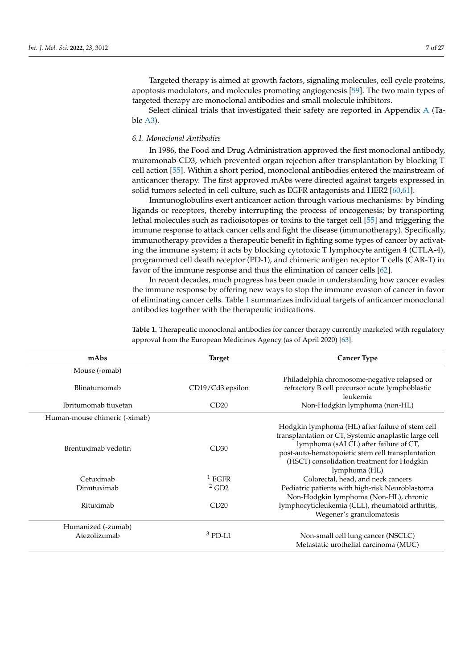Targeted therapy is aimed at growth factors, signaling molecules, cell cycle proteins, apoptosis modulators, and molecules promoting angiogenesis [\[59\]](#page-25-2). The two main types of targeted therapy are monoclonal antibodies and small molecule inhibitors.

Select clinical trials that investigated their safety are reported in Appendix [A](#page-13-0) (Table [A3\)](#page-22-0).

# *6.1. Monoclonal Antibodies*

In 1986, the Food and Drug Administration approved the first monoclonal antibody, muromonab-CD3, which prevented organ rejection after transplantation by blocking T cell action [\[55\]](#page-24-21). Within a short period, monoclonal antibodies entered the mainstream of anticancer therapy. The first approved mAbs were directed against targets expressed in solid tumors selected in cell culture, such as EGFR antagonists and HER2 [\[60,](#page-25-3)[61\]](#page-25-4).

Immunoglobulins exert anticancer action through various mechanisms: by binding ligands or receptors, thereby interrupting the process of oncogenesis; by transporting lethal molecules such as radioisotopes or toxins to the target cell [\[55\]](#page-24-21) and triggering the immune response to attack cancer cells and fight the disease (immunotherapy). Specifically, immunotherapy provides a therapeutic benefit in fighting some types of cancer by activating the immune system; it acts by blocking cytotoxic T lymphocyte antigen 4 (CTLA-4), programmed cell death receptor (PD-1), and chimeric antigen receptor T cells (CAR-T) in favor of the immune response and thus the elimination of cancer cells [\[62\]](#page-25-5).

In recent decades, much progress has been made in understanding how cancer evades the immune response by offering new ways to stop the immune evasion of cancer in favor of eliminating cancer cells. Table [1](#page-7-0) summarizes individual targets of anticancer monoclonal antibodies together with the therapeutic indications.

| mAbs                          | <b>Target</b>       | <b>Cancer Type</b>                                                                                                                                                                                                                                                     |
|-------------------------------|---------------------|------------------------------------------------------------------------------------------------------------------------------------------------------------------------------------------------------------------------------------------------------------------------|
| Mouse (-omab)                 |                     |                                                                                                                                                                                                                                                                        |
| Blinatumomab                  | CD19/Cd3 epsilon    | Philadelphia chromosome-negative relapsed or<br>refractory B cell precursor acute lymphoblastic<br>leukemia                                                                                                                                                            |
| Ibritumomab tiuxetan          | CD20                | Non-Hodgkin lymphoma (non-HL)                                                                                                                                                                                                                                          |
| Human-mouse chimeric (-ximab) |                     |                                                                                                                                                                                                                                                                        |
| Brentuximab vedotin           | CD30                | Hodgkin lymphoma (HL) after failure of stem cell<br>transplantation or CT, Systemic anaplastic large cell<br>lymphoma (sALCL) after failure of CT,<br>post-auto-hematopoietic stem cell transplantation<br>(HSCT) consolidation treatment for Hodgkin<br>lymphoma (HL) |
| Cetuximab                     | $1 E$ GFR           | Colorectal, head, and neck cancers                                                                                                                                                                                                                                     |
| Dinutuximab                   | $2$ GD <sub>2</sub> | Pediatric patients with high-risk Neuroblastoma                                                                                                                                                                                                                        |
| Rituximab                     | CD20                | Non-Hodgkin lymphoma (Non-HL), chronic<br>lymphocyticleukemia (CLL), rheumatoid arthritis,<br>Wegener's granulomatosis                                                                                                                                                 |
| Humanized (-zumab)            |                     |                                                                                                                                                                                                                                                                        |
| Atezolizumab                  | $3$ PD-L1           | Non-small cell lung cancer (NSCLC)<br>Metastatic urothelial carcinoma (MUC)                                                                                                                                                                                            |

**Table 1.** Therapeutic monoclonal antibodies for cancer therapy currently marketed with regulatory approval from the European Medicines Agency (as of April 2020) [\[63\]](#page-25-6).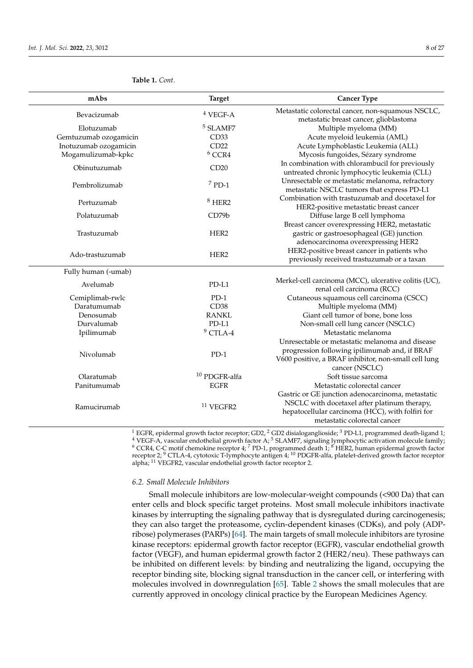| mAbs                  | <b>Target</b>            | <b>Cancer Type</b>                                                                                                               |
|-----------------------|--------------------------|----------------------------------------------------------------------------------------------------------------------------------|
| Bevacizumab           | $4$ VEGF-A               | Metastatic colorectal cancer, non-squamous NSCLC,<br>metastatic breast cancer, glioblastoma                                      |
| Elotuzumab            | <sup>5</sup> SLAMF7      | Multiple myeloma (MM)                                                                                                            |
| Gemtuzumab ozogamicin | CD33                     | Acute myeloid leukemia (AML)                                                                                                     |
| Inotuzumab ozogamicin | CD22                     | Acute Lymphoblastic Leukemia (ALL)                                                                                               |
| Mogamulizumab-kpkc    | $6$ CCR4                 | Mycosis fungoides, Sézary syndrome                                                                                               |
| Obinutuzumab          | CD20                     | In combination with chlorambucil for previously<br>untreated chronic lymphocytic leukemia (CLL)                                  |
| Pembrolizumab         | $7$ PD-1                 | Unresectable or metastatic melanoma, refractory<br>metastatic NSCLC tumors that express PD-L1                                    |
| Pertuzumab            | $8$ HER2                 | Combination with trastuzumab and docetaxel for<br>HER2-positive metastatic breast cancer                                         |
| Polatuzumab           | CD79b                    | Diffuse large B cell lymphoma                                                                                                    |
|                       |                          | Breast cancer overexpressing HER2, metastatic                                                                                    |
| Trastuzumab           | HER2                     | gastric or gastroesophageal (GE) junction                                                                                        |
|                       |                          | adenocarcinoma overexpressing HER2                                                                                               |
| Ado-trastuzumab       | HER <sub>2</sub>         | HER2-positive breast cancer in patients who<br>previously received trastuzumab or a taxan                                        |
| Fully human (-umab)   |                          |                                                                                                                                  |
| Avelumab              | $PD-L1$                  | Merkel-cell carcinoma (MCC), ulcerative colitis (UC),<br>renal cell carcinoma (RCC)                                              |
| Cemiplimab-rwlc       | $PD-1$                   | Cutaneous squamous cell carcinoma (CSCC)                                                                                         |
| Daratumumab           | CD <sub>38</sub>         | Multiple myeloma (MM)                                                                                                            |
| Denosumab             | <b>RANKL</b>             | Giant cell tumor of bone, bone loss                                                                                              |
| Durvalumab            | PD-L1                    | Non-small cell lung cancer (NSCLC)                                                                                               |
| Ipilimumab            | $9$ CTLA-4               | Metastatic melanoma                                                                                                              |
|                       |                          | Unresectable or metastatic melanoma and disease                                                                                  |
| Nivolumab             | $PD-1$                   | progression following ipilimumab and, if BRAF<br>V600 positive, a BRAF inhibitor, non-small cell lung<br>cancer (NSCLC)          |
| Olaratumab            | <sup>10</sup> PDGFR-alfa | Soft tissue sarcoma                                                                                                              |
| Panitumumab           | <b>EGFR</b>              | Metastatic colorectal cancer                                                                                                     |
|                       |                          | Gastric or GE junction adenocarcinoma, metastatic                                                                                |
| Ramucirumab           | <sup>11</sup> VEGFR2     | NSCLC with docetaxel after platinum therapy,<br>hepatocellular carcinoma (HCC), with folfiri for<br>metastatic colorectal cancer |

## <span id="page-7-0"></span>**Table 1.** *Cont*.

 $^1$  EGFR, epidermal growth factor receptor; GD2,  $^2$  GD2 disialoganglioside;  $^3$  PD-L1, programmed death-ligand 1;  $4$  VEGF-A, vascular endothelial growth factor A;  $5$  SLAMF7, signaling lymphocytic activation molecule family;  $6$  CCR4, C-C motif chemokine receptor 4;  $7$  PD-1, programmed death 1;  $8$  HER2, human epidermal growth factor receptor 2; <sup>9</sup> CTLA-4, cytotoxic T-lymphocyte antigen 4; <sup>10</sup> PDGFR-alfa, platelet-derived growth factor receptor alpha; <sup>11</sup> VEGFR2, vascular endothelial growth factor receptor 2.

#### *6.2. Small Molecule Inhibitors*

Small molecule inhibitors are low-molecular-weight compounds (<900 Da) that can enter cells and block specific target proteins. Most small molecule inhibitors inactivate kinases by interrupting the signaling pathway that is dysregulated during carcinogenesis; they can also target the proteasome, cyclin-dependent kinases (CDKs), and poly (ADPribose) polymerases (PARPs) [\[64\]](#page-25-7). The main targets of small molecule inhibitors are tyrosine kinase receptors: epidermal growth factor receptor (EGFR), vascular endothelial growth factor (VEGF), and human epidermal growth factor 2 (HER2/neu). These pathways can be inhibited on different levels: by binding and neutralizing the ligand, occupying the receptor binding site, blocking signal transduction in the cancer cell, or interfering with molecules involved in downregulation [\[65\]](#page-25-8). Table [2](#page-9-0) shows the small molecules that are currently approved in oncology clinical practice by the European Medicines Agency.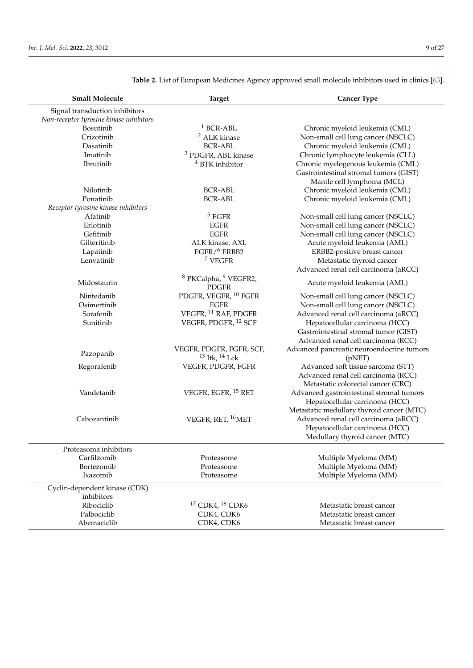| <b>Small Molecule</b>                   | <b>Target</b>                                               | <b>Cancer Type</b>                        |
|-----------------------------------------|-------------------------------------------------------------|-------------------------------------------|
| Signal transduction inhibitors          |                                                             |                                           |
| Non-receptor tyrosine kinase inhibitors |                                                             |                                           |
| Bosutinib                               | $1$ BCR-ABL                                                 | Chronic myeloid leukemia (CML)            |
| Crizotinib                              | <sup>2</sup> ALK kinase                                     | Non-small cell lung cancer (NSCLC)        |
| Dasatinib                               | <b>BCR-ABL</b>                                              | Chronic myeloid leukemia (CML)            |
| Imatinib                                | <sup>3</sup> PDGFR, ABL kinase                              | Chronic lymphocyte leukemia (CLL)         |
| Ibrutinib                               | <sup>4</sup> BTK inhibitor                                  | Chronic myelogenous leukemia (CML)        |
|                                         |                                                             | Gastrointestinal stromal tumors (GIST)    |
|                                         |                                                             | Mantle cell lymphoma (MCL)                |
| Nilotinib                               | <b>BCR-ABL</b>                                              | Chronic myeloid leukemia (CML)            |
| Ponatinib                               | <b>BCR-ABL</b>                                              | Chronic myeloid leukemia (CML)            |
| Receptor tyrosine kinase inhibitors     |                                                             |                                           |
| Afatinib                                | $5$ EGFR                                                    | Non-small cell lung cancer (NSCLC)        |
| Erlotinib                               | <b>EGFR</b>                                                 | Non-small cell lung cancer (NSCLC)        |
| Gefitinib                               | <b>EGFR</b>                                                 | Non-small cell lung cancer (NSCLC)        |
| Gilteritinib                            | ALK kinase, AXL                                             | Acute myeloid leukemia (AML)              |
| Lapatinib                               | $EGFR/$ <sup>6</sup> ERBB2                                  | ERBB2-positive breast cancer              |
| Lenvatinib                              | <sup>7</sup> VEGFR                                          | Metastatic thyroid cancer                 |
|                                         |                                                             | Advanced renal cell carcinoma (aRCC)      |
| Midostaurin                             | <sup>8</sup> PKCalpha, <sup>9</sup> VEGFR2,<br><b>PDGFR</b> | Acute myeloid leukemia (AML)              |
| Nintedanib                              | PDGFR, VEGFR, <sup>10</sup> FGFR                            | Non-small cell lung cancer (NSCLC)        |
| Osimertinib                             | <b>EGFR</b>                                                 | Non-small cell lung cancer (NSCLC)        |
| Sorafenib                               | VEGFR, $^{\rm 11}$ RAF, PDGFR                               | Advanced renal cell carcinoma (aRCC)      |
| Sunitinib                               | VEGFR, PDGFR, <sup>12</sup> SCF                             | Hepatocellular carcinoma (HCC)            |
|                                         |                                                             | Gastrointestinal stromal tumor (GIST)     |
|                                         |                                                             | Advanced renal cell carcinoma (RCC)       |
|                                         | VEGFR, PDGFR, FGFR, SCF,                                    | Advanced pancreatic neuroendocrine tumors |
| Pazopanib                               | $13$ Itk, $14$ Lck                                          | (pNET)                                    |
| Regorafenib                             | VEGFR, PDGFR, FGFR                                          | Advanced soft tissue sarcoma (STT)        |
|                                         |                                                             | Advanced renal cell carcinoma (RCC)       |
|                                         |                                                             | Metastatic colorectal cancer (CRC)        |
| Vandetanib                              | VEGFR, EGFR, <sup>15</sup> RET                              | Advanced gastrointestinal stromal tumors  |
|                                         |                                                             | Hepatocellular carcinoma (HCC)            |
|                                         |                                                             | Metastatic medullary thyroid cancer (MTC) |
| Cabozantinib                            | VEGFR, RET, <sup>16</sup> MET                               | Advanced renal cell carcinoma (aRCC)      |
|                                         |                                                             | Hepatocellular carcinoma (HCC)            |
|                                         |                                                             | Medullary thyroid cancer (MTC)            |
| Proteasoma inhibitors                   |                                                             |                                           |
| Carfilzomib                             | Proteasome                                                  | Multiple Myeloma (MM)                     |
| Bortezomib                              | Proteasome                                                  | Multiple Myeloma (MM)                     |
| Ixazomib                                | Proteasome                                                  | Multiple Myeloma (MM)                     |
| Cyclin-dependent kinase (CDK)           |                                                             |                                           |
| inhibitors                              |                                                             |                                           |
| Ribociclib                              | <sup>17</sup> CDK4, <sup>18</sup> CDK6                      | Metastatic breast cancer                  |
| Palbociclib                             | CDK4, CDK6                                                  | Metastatic breast cancer                  |
| Abemaciclib                             | CDK4, CDK6                                                  | Metastatic breast cancer                  |
|                                         |                                                             |                                           |

**Table 2.** List of European Medicines Agency approved small molecule inhibitors used in clinics [\[63\]](#page-25-6).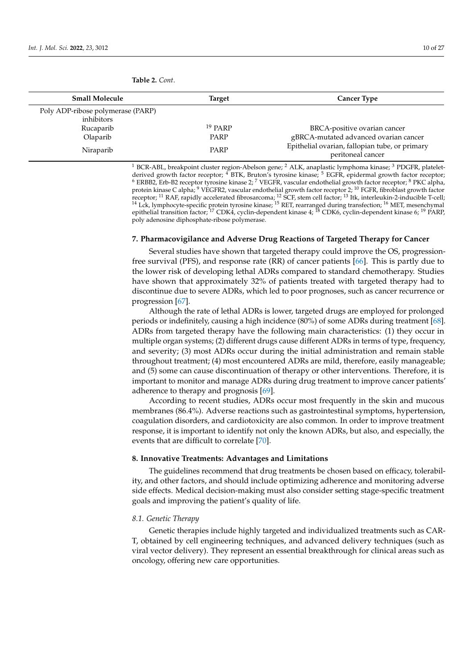| <b>Small Molecule</b>             | Target    | <b>Cancer Type</b>                                                  |
|-----------------------------------|-----------|---------------------------------------------------------------------|
| Poly ADP-ribose polymerase (PARP) |           |                                                                     |
| inhibitors                        |           |                                                                     |
| Rucaparib                         | $19$ PARP | BRCA-positive ovarian cancer                                        |
| Olaparib                          | PARP      | gBRCA-mutated advanced ovarian cancer                               |
| Niraparib                         | PARP      | Epithelial ovarian, fallopian tube, or primary<br>peritoneal cancer |

<span id="page-9-0"></span>**Table 2.** *Cont*.

<sup>1</sup> BCR-ABL, breakpoint cluster region-Abelson gene; <sup>2</sup> ALK, anaplastic lymphoma kinase; <sup>3</sup> PDGFR, plateletderived growth factor receptor; <sup>4</sup> BTK, Bruton's tyrosine kinase; <sup>5</sup> EGFR, epidermal growth factor receptor;  $^6$  ERBB2, Erb-B2 receptor tyrosine kinase 2;  $^7$  VEGFR, vascular endothelial growth factor receptor;  $^8$  PKC alpha, protein kinase C alpha; <sup>9</sup> VEGFR2, vascular endothelial growth factor receptor 2; <sup>10</sup> FGFR, fibroblast growth factor receptor; <sup>11</sup> RAF, rapidly accelerated fibrosarcoma; <sup>12</sup> SCF, stem cell factor; <sup>13</sup> Itk, interleukin-2-inducible T-cell; <sup>14</sup> Lck, lymphocyte-specific protein tyrosine kinase; <sup>15</sup> RET, rearranged during transfection; <sup>16</sup> MET, mesenchymal epithelial transition factor; <sup>17</sup> CDK4, cyclin-dependent kinase 4; <sup>18</sup> CDK6, cyclin-dependent kinase 6; <sup>19</sup> PARP, poly adenosine diphosphate-ribose polymerase.

## **7. Pharmacovigilance and Adverse Drug Reactions of Targeted Therapy for Cancer**

Several studies have shown that targeted therapy could improve the OS, progressionfree survival (PFS), and response rate (RR) of cancer patients [\[66\]](#page-25-9). This is partly due to the lower risk of developing lethal ADRs compared to standard chemotherapy. Studies have shown that approximately 32% of patients treated with targeted therapy had to discontinue due to severe ADRs, which led to poor prognoses, such as cancer recurrence or progression [\[67\]](#page-25-10).

Although the rate of lethal ADRs is lower, targeted drugs are employed for prolonged periods or indefinitely, causing a high incidence (80%) of some ADRs during treatment [\[68\]](#page-25-11). ADRs from targeted therapy have the following main characteristics: (1) they occur in multiple organ systems; (2) different drugs cause different ADRs in terms of type, frequency, and severity; (3) most ADRs occur during the initial administration and remain stable throughout treatment; (4) most encountered ADRs are mild, therefore, easily manageable; and (5) some can cause discontinuation of therapy or other interventions. Therefore, it is important to monitor and manage ADRs during drug treatment to improve cancer patients' adherence to therapy and prognosis [\[69\]](#page-25-12).

According to recent studies, ADRs occur most frequently in the skin and mucous membranes (86.4%). Adverse reactions such as gastrointestinal symptoms, hypertension, coagulation disorders, and cardiotoxicity are also common. In order to improve treatment response, it is important to identify not only the known ADRs, but also, and especially, the events that are difficult to correlate [\[70\]](#page-25-13).

#### **8. Innovative Treatments: Advantages and Limitations**

The guidelines recommend that drug treatments be chosen based on efficacy, tolerability, and other factors, and should include optimizing adherence and monitoring adverse side effects. Medical decision-making must also consider setting stage-specific treatment goals and improving the patient's quality of life.

#### *8.1. Genetic Therapy*

Genetic therapies include highly targeted and individualized treatments such as CAR-T, obtained by cell engineering techniques, and advanced delivery techniques (such as viral vector delivery). They represent an essential breakthrough for clinical areas such as oncology, offering new care opportunities.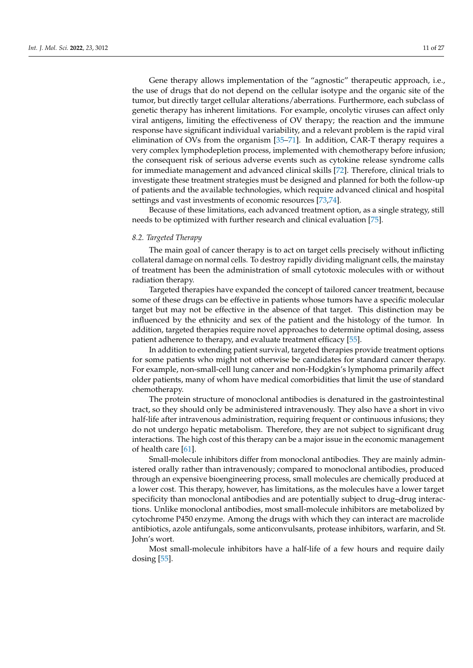Gene therapy allows implementation of the "agnostic" therapeutic approach, i.e., the use of drugs that do not depend on the cellular isotype and the organic site of the tumor, but directly target cellular alterations/aberrations. Furthermore, each subclass of genetic therapy has inherent limitations. For example, oncolytic viruses can affect only viral antigens, limiting the effectiveness of OV therapy; the reaction and the immune response have significant individual variability, and a relevant problem is the rapid viral elimination of OVs from the organism [\[35–](#page-24-2)[71\]](#page-25-14). In addition, CAR-T therapy requires a very complex lymphodepletion process, implemented with chemotherapy before infusion; the consequent risk of serious adverse events such as cytokine release syndrome calls for immediate management and advanced clinical skills [\[72\]](#page-25-15). Therefore, clinical trials to investigate these treatment strategies must be designed and planned for both the follow-up of patients and the available technologies, which require advanced clinical and hospital settings and vast investments of economic resources [\[73,](#page-25-16)[74\]](#page-25-17).

Because of these limitations, each advanced treatment option, as a single strategy, still needs to be optimized with further research and clinical evaluation [\[75\]](#page-25-18).

## *8.2. Targeted Therapy*

The main goal of cancer therapy is to act on target cells precisely without inflicting collateral damage on normal cells. To destroy rapidly dividing malignant cells, the mainstay of treatment has been the administration of small cytotoxic molecules with or without radiation therapy.

Targeted therapies have expanded the concept of tailored cancer treatment, because some of these drugs can be effective in patients whose tumors have a specific molecular target but may not be effective in the absence of that target. This distinction may be influenced by the ethnicity and sex of the patient and the histology of the tumor. In addition, targeted therapies require novel approaches to determine optimal dosing, assess patient adherence to therapy, and evaluate treatment efficacy [\[55\]](#page-24-21).

In addition to extending patient survival, targeted therapies provide treatment options for some patients who might not otherwise be candidates for standard cancer therapy. For example, non-small-cell lung cancer and non-Hodgkin's lymphoma primarily affect older patients, many of whom have medical comorbidities that limit the use of standard chemotherapy.

The protein structure of monoclonal antibodies is denatured in the gastrointestinal tract, so they should only be administered intravenously. They also have a short in vivo half-life after intravenous administration, requiring frequent or continuous infusions; they do not undergo hepatic metabolism. Therefore, they are not subject to significant drug interactions. The high cost of this therapy can be a major issue in the economic management of health care [\[61\]](#page-25-4).

Small-molecule inhibitors differ from monoclonal antibodies. They are mainly administered orally rather than intravenously; compared to monoclonal antibodies, produced through an expensive bioengineering process, small molecules are chemically produced at a lower cost. This therapy, however, has limitations, as the molecules have a lower target specificity than monoclonal antibodies and are potentially subject to drug–drug interactions. Unlike monoclonal antibodies, most small-molecule inhibitors are metabolized by cytochrome P450 enzyme. Among the drugs with which they can interact are macrolide antibiotics, azole antifungals, some anticonvulsants, protease inhibitors, warfarin, and St. John's wort.

Most small-molecule inhibitors have a half-life of a few hours and require daily dosing [\[55\]](#page-24-21).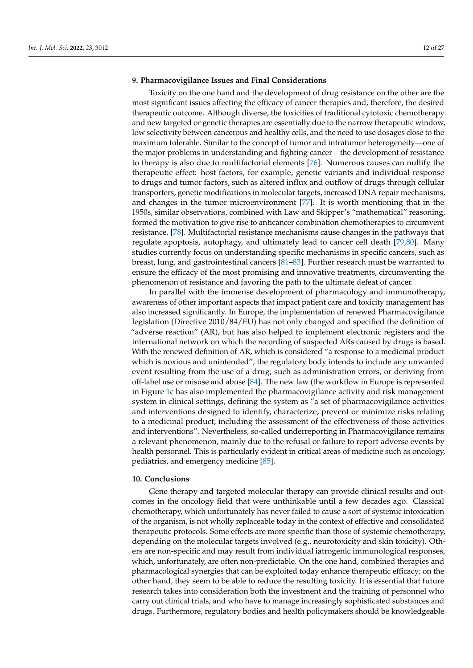#### **9. Pharmacovigilance Issues and Final Considerations**

Toxicity on the one hand and the development of drug resistance on the other are the most significant issues affecting the efficacy of cancer therapies and, therefore, the desired therapeutic outcome. Although diverse, the toxicities of traditional cytotoxic chemotherapy and new targeted or genetic therapies are essentially due to the narrow therapeutic window, low selectivity between cancerous and healthy cells, and the need to use dosages close to the maximum tolerable. Similar to the concept of tumor and intratumor heterogeneity—one of the major problems in understanding and fighting cancer—the development of resistance to therapy is also due to multifactorial elements [\[76\]](#page-25-19). Numerous causes can nullify the therapeutic effect: host factors, for example, genetic variants and individual response to drugs and tumor factors, such as altered influx and outflow of drugs through cellular transporters, genetic modifications in molecular targets, increased DNA repair mechanisms, and changes in the tumor microenvironment [\[77\]](#page-25-20). It is worth mentioning that in the 1950s, similar observations, combined with Law and Skipper's "mathematical" reasoning, formed the motivation to give rise to anticancer combination chemotherapies to circumvent resistance. [\[78\]](#page-25-21). Multifactorial resistance mechanisms cause changes in the pathways that regulate apoptosis, autophagy, and ultimately lead to cancer cell death [\[79](#page-25-22)[,80\]](#page-25-23). Many studies currently focus on understanding specific mechanisms in specific cancers, such as breast, lung, and gastrointestinal cancers [\[81–](#page-25-24)[83\]](#page-25-25). Further research must be warranted to ensure the efficacy of the most promising and innovative treatments, circumventing the phenomenon of resistance and favoring the path to the ultimate defeat of cancer.

In parallel with the immense development of pharmacology and immunotherapy, awareness of other important aspects that impact patient care and toxicity management has also increased significantly. In Europe, the implementation of renewed Pharmacovigilance legislation (Directive 2010/84/EU) has not only changed and specified the definition of "adverse reaction" (AR), but has also helped to implement electronic registers and the international network on which the recording of suspected ARs caused by drugs is based. With the renewed definition of AR, which is considered "a response to a medicinal product which is noxious and unintended", the regulatory body intends to include any unwanted event resulting from the use of a drug, such as administration errors, or deriving from off-label use or misuse and abuse [\[84\]](#page-26-0). The new law (the workflow in Europe is represented in Figure [1c](#page-2-0) has also implemented the pharmacovigilance activity and risk management system in clinical settings, defining the system as "a set of pharmacovigilance activities and interventions designed to identify, characterize, prevent or minimize risks relating to a medicinal product, including the assessment of the effectiveness of those activities and interventions". Nevertheless, so-called underreporting in Pharmacovigilance remains a relevant phenomenon, mainly due to the refusal or failure to report adverse events by health personnel. This is particularly evident in critical areas of medicine such as oncology, pediatrics, and emergency medicine [\[85\]](#page-26-1).

#### **10. Conclusions**

Gene therapy and targeted molecular therapy can provide clinical results and outcomes in the oncology field that were unthinkable until a few decades ago. Classical chemotherapy, which unfortunately has never failed to cause a sort of systemic intoxication of the organism, is not wholly replaceable today in the context of effective and consolidated therapeutic protocols. Some effects are more specific than those of systemic chemotherapy, depending on the molecular targets involved (e.g., neurotoxicity and skin toxicity). Others are non-specific and may result from individual iatrogenic immunological responses, which, unfortunately, are often non-predictable. On the one hand, combined therapies and pharmacological synergies that can be exploited today enhance therapeutic efficacy; on the other hand, they seem to be able to reduce the resulting toxicity. It is essential that future research takes into consideration both the investment and the training of personnel who carry out clinical trials, and who have to manage increasingly sophisticated substances and drugs. Furthermore, regulatory bodies and health policymakers should be knowledgeable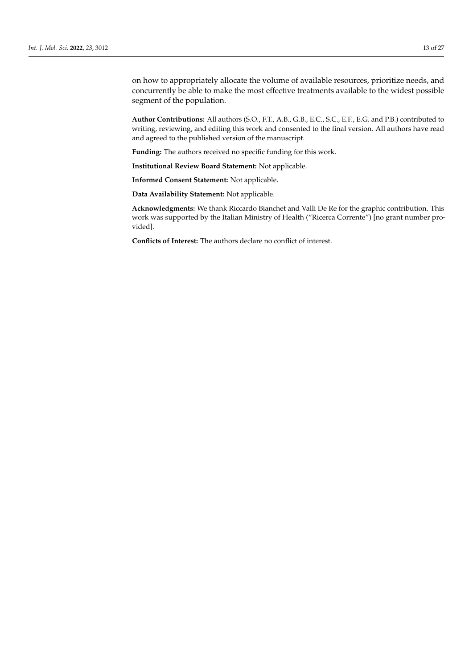on how to appropriately allocate the volume of available resources, prioritize needs, and concurrently be able to make the most effective treatments available to the widest possible segment of the population.

**Author Contributions:** All authors (S.O., F.T., A.B., G.B., E.C., S.C., E.F., E.G. and P.B.) contributed to writing, reviewing, and editing this work and consented to the final version. All authors have read and agreed to the published version of the manuscript.

**Funding:** The authors received no specific funding for this work.

**Institutional Review Board Statement:** Not applicable.

**Informed Consent Statement:** Not applicable.

**Data Availability Statement:** Not applicable.

**Acknowledgments:** We thank Riccardo Bianchet and Valli De Re for the graphic contribution. This work was supported by the Italian Ministry of Health ("Ricerca Corrente") [no grant number provided].

**Conflicts of Interest:** The authors declare no conflict of interest.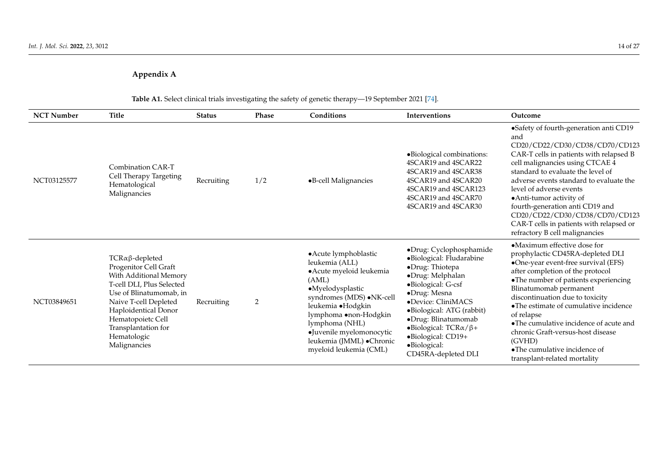# **Appendix A**

<span id="page-13-0"></span>

|                   | Table AT. Select clinical trials investigating the safety of genetic therapy—19 September 2021 [74].                                                                                                                                                              |               |                |                                                                                                                                                                                                                                                                                  |                                                                                                                                                                                                                                                                                                                                         |                                                                                                                                                                                                                                                                                                                                                                                                                                                                 |  |
|-------------------|-------------------------------------------------------------------------------------------------------------------------------------------------------------------------------------------------------------------------------------------------------------------|---------------|----------------|----------------------------------------------------------------------------------------------------------------------------------------------------------------------------------------------------------------------------------------------------------------------------------|-----------------------------------------------------------------------------------------------------------------------------------------------------------------------------------------------------------------------------------------------------------------------------------------------------------------------------------------|-----------------------------------------------------------------------------------------------------------------------------------------------------------------------------------------------------------------------------------------------------------------------------------------------------------------------------------------------------------------------------------------------------------------------------------------------------------------|--|
| <b>NCT Number</b> | <b>Title</b>                                                                                                                                                                                                                                                      | <b>Status</b> | Phase          | Conditions                                                                                                                                                                                                                                                                       | Interventions                                                                                                                                                                                                                                                                                                                           | Outcome                                                                                                                                                                                                                                                                                                                                                                                                                                                         |  |
| NCT03125577       | Combination CAR-T<br>Cell Therapy Targeting<br>Hematological<br>Malignancies                                                                                                                                                                                      | Recruiting    | 1/2            | •B-cell Malignancies                                                                                                                                                                                                                                                             | ·Biological combinations:<br>4SCAR19 and 4SCAR22<br>4SCAR19 and 4SCAR38<br>4SCAR19 and 4SCAR20<br>4SCAR19 and 4SCAR123<br>4SCAR19 and 4SCAR70<br>4SCAR19 and 4SCAR30                                                                                                                                                                    | •Safety of fourth-generation anti CD19<br>and<br>CD20/CD22/CD30/CD38/CD70/CD123<br>CAR-T cells in patients with relapsed B<br>cell malignancies using CTCAE 4<br>standard to evaluate the level of<br>adverse events standard to evaluate the<br>level of adverse events<br>• Anti-tumor activity of<br>fourth-generation anti CD19 and<br>CD20/CD22/CD30/CD38/CD70/CD123<br>CAR-T cells in patients with relapsed or<br>refractory B cell malignancies         |  |
| NCT03849651       | $TCR\alpha\beta$ -depleted<br>Progenitor Cell Graft<br>With Additional Memory<br>T-cell DLI, Plus Selected<br>Use of Blinatumomab, in<br>Naive T-cell Depleted<br>Haploidentical Donor<br>Hematopoietc Cell<br>Transplantation for<br>Hematologic<br>Malignancies | Recruiting    | $\overline{2}$ | • Acute lymphoblastic<br>leukemia (ALL)<br>• Acute myeloid leukemia<br>(AML)<br>·Myelodysplastic<br>syndromes (MDS) · NK-cell<br>leukemia ·Hodgkin<br>lymphoma •non-Hodgkin<br>lymphoma (NHL)<br>•Juvenile myelomonocytic<br>leukemia (JMML) · Chronic<br>myeloid leukemia (CML) | ·Drug: Cyclophosphamide<br>·Biological: Fludarabine<br>·Drug: Thiotepa<br>·Drug: Melphalan<br>$\bullet$ Biological: G-csf<br>$\bullet$ Drug: Mesna<br>•Device: CliniMACS<br>·Biological: ATG (rabbit)<br>·Drug: Blinatumomab<br>$\bullet$ Biological: TCR $\alpha/\beta +$<br>·Biological: CD19+<br>·Biological:<br>CD45RA-depleted DLI | •Maximum effective dose for<br>prophylactic CD45RA-depleted DLI<br>•One-year event-free survival (EFS)<br>after completion of the protocol<br>•The number of patients experiencing<br>Blinatumomab permanent<br>discontinuation due to toxicity<br>•The estimate of cumulative incidence<br>of relapse<br>•The cumulative incidence of acute and<br>chronic Graft-versus-host disease<br>(GVHD)<br>•The cumulative incidence of<br>transplant-related mortality |  |

# **Table A1.** Select clinical trials investigating the safety of genetic therapy—19 September 2021 [\[74\]](#page-25-26).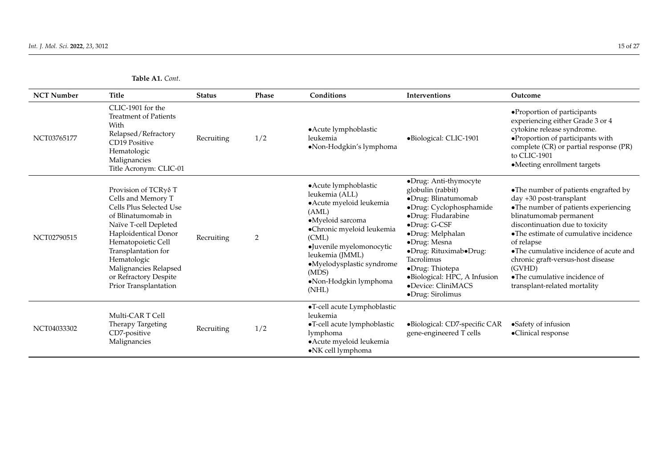**Table A1.** *Cont*.

| <b>NCT Number</b> | <b>Title</b>                                                                                                                                                                                                                                                                        | <b>Status</b> | Phase          | Conditions                                                                                                                                                                                                                                                    | <b>Interventions</b>                                                                                                                                                                                                                                                                                                        | Outcome                                                                                                                                                                                                                                                                                                                                                                              |
|-------------------|-------------------------------------------------------------------------------------------------------------------------------------------------------------------------------------------------------------------------------------------------------------------------------------|---------------|----------------|---------------------------------------------------------------------------------------------------------------------------------------------------------------------------------------------------------------------------------------------------------------|-----------------------------------------------------------------------------------------------------------------------------------------------------------------------------------------------------------------------------------------------------------------------------------------------------------------------------|--------------------------------------------------------------------------------------------------------------------------------------------------------------------------------------------------------------------------------------------------------------------------------------------------------------------------------------------------------------------------------------|
| NCT03765177       | CLIC-1901 for the<br><b>Treatment of Patients</b><br>With<br>Relapsed/Refractory<br>CD19 Positive<br>Hematologic<br>Malignancies<br>Title Acronym: CLIC-01                                                                                                                          | Recruiting    | 1/2            | • Acute lymphoblastic<br>leukemia<br>·Non-Hodgkin's lymphoma                                                                                                                                                                                                  | ·Biological: CLIC-1901                                                                                                                                                                                                                                                                                                      | •Proportion of participants<br>experiencing either Grade 3 or 4<br>cytokine release syndrome.<br>·Proportion of participants with<br>complete (CR) or partial response (PR)<br>to CLIC-1901<br>•Meeting enrollment targets                                                                                                                                                           |
| NCT02790515       | Provision of TCRγδ T<br>Cells and Memory T<br>Cells Plus Selected Use<br>of Blinatumomab in<br>Naïve T-cell Depleted<br>Haploidentical Donor<br>Hematopoietic Cell<br>Transplantation for<br>Hematologic<br>Malignancies Relapsed<br>or Refractory Despite<br>Prior Transplantation | Recruiting    | $\overline{2}$ | • Acute lymphoblastic<br>leukemia (ALL)<br>• Acute myeloid leukemia<br>(AML)<br>·Myeloid sarcoma<br>·Chronic myeloid leukemia<br>(CML)<br>·Juvenile myelomonocytic<br>leukemia (JMML)<br>·Myelodysplastic syndrome<br>(MDS)<br>·Non-Hodgkin lymphoma<br>(NHL) | •Drug: Anti-thymocyte<br>globulin (rabbit)<br>·Drug: Blinatumomab<br>·Drug: Cyclophosphamide<br>·Drug: Fludarabine<br>·Drug: G-CSF<br>·Drug: Melphalan<br>·Drug: Mesna<br>•Drug: Rituximab•Drug:<br><b>Tacrolimus</b><br>·Drug: Thiotepa<br>·Biological: HPC, A Infusion<br>·Device: CliniMACS<br>$\bullet$ Drug: Sirolimus | •The number of patients engrafted by<br>day +30 post-transplant<br>•The number of patients experiencing<br>blinatumomab permanent<br>discontinuation due to toxicity<br>•The estimate of cumulative incidence<br>of relapse<br>•The cumulative incidence of acute and<br>chronic graft-versus-host disease<br>(GVHD)<br>•The cumulative incidence of<br>transplant-related mortality |
| NCT04033302       | Multi-CAR T Cell<br>Therapy Targeting<br>CD7-positive<br>Malignancies                                                                                                                                                                                                               | Recruiting    | 1/2            | ·T-cell acute Lymphoblastic<br>leukemia<br>•T-cell acute lymphoblastic<br>lymphoma<br>· Acute myeloid leukemia<br>•NK cell lymphoma                                                                                                                           | ·Biological: CD7-specific CAR<br>gene-engineered T cells                                                                                                                                                                                                                                                                    | •Safety of infusion<br>·Clinical response                                                                                                                                                                                                                                                                                                                                            |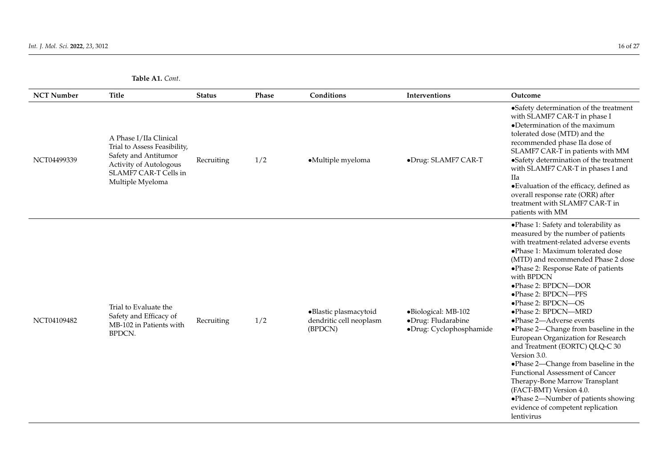**Table A1.** *Cont*.

| <b>NCT Number</b> | <b>Title</b>                                                                                                                                          | <b>Status</b> | Phase | Conditions                                                  | Interventions                                                        | Outcome                                                                                                                                                                                                                                                                                                                                                                                                                                                                                                                                                                                                                                                                                                                                                  |
|-------------------|-------------------------------------------------------------------------------------------------------------------------------------------------------|---------------|-------|-------------------------------------------------------------|----------------------------------------------------------------------|----------------------------------------------------------------------------------------------------------------------------------------------------------------------------------------------------------------------------------------------------------------------------------------------------------------------------------------------------------------------------------------------------------------------------------------------------------------------------------------------------------------------------------------------------------------------------------------------------------------------------------------------------------------------------------------------------------------------------------------------------------|
| NCT04499339       | A Phase I/IIa Clinical<br>Trial to Assess Feasibility,<br>Safety and Antitumor<br>Activity of Autologous<br>SLAMF7 CAR-T Cells in<br>Multiple Myeloma | Recruiting    | 1/2   | •Multiple myeloma                                           | ·Drug: SLAMF7 CAR-T                                                  | •Safety determination of the treatment<br>with SLAMF7 CAR-T in phase I<br>•Determination of the maximum<br>tolerated dose (MTD) and the<br>recommended phase IIa dose of<br>SLAMF7 CAR-T in patients with MM<br>•Safety determination of the treatment<br>with SLAMF7 CAR-T in phases I and<br>IIa<br>• Evaluation of the efficacy, defined as<br>overall response rate (ORR) after<br>treatment with SLAMF7 CAR-T in<br>patients with MM                                                                                                                                                                                                                                                                                                                |
| NCT04109482       | Trial to Evaluate the<br>Safety and Efficacy of<br>MB-102 in Patients with<br><b>BPDCN.</b>                                                           | Recruiting    | 1/2   | ·Blastic plasmacytoid<br>dendritic cell neoplasm<br>(BPDCN) | •Biological: MB-102<br>·Drug: Fludarabine<br>·Drug: Cyclophosphamide | ·Phase 1: Safety and tolerability as<br>measured by the number of patients<br>with treatment-related adverse events<br>• Phase 1: Maximum tolerated dose<br>(MTD) and recommended Phase 2 dose<br>• Phase 2: Response Rate of patients<br>with BPDCN<br>·Phase 2: BPDCN-DOR<br>• Phase 2: BPDCN-PFS<br>·Phase 2: BPDCN-OS<br>• Phase 2: BPDCN-MRD<br>• Phase 2-Adverse events<br>• Phase 2—Change from baseline in the<br>European Organization for Research<br>and Treatment (EORTC) QLQ-C 30<br>Version 3.0.<br>• Phase 2—Change from baseline in the<br><b>Functional Assessment of Cancer</b><br>Therapy-Bone Marrow Transplant<br>(FACT-BMT) Version 4.0.<br>·Phase 2-Number of patients showing<br>evidence of competent replication<br>lentivirus |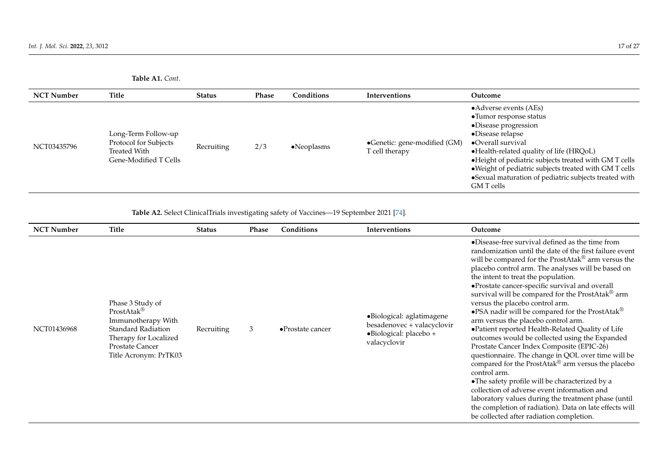| <b>Table A1.</b> Cont. |  |
|------------------------|--|
|------------------------|--|

| <b>NCT Number</b> | <b>Title</b>                                                                          | <b>Status</b> | <b>Phase</b> | Conditions          | <b>Interventions</b>                           | Outcome                                                                                                                                                                                                                                                                                                                                                                    |
|-------------------|---------------------------------------------------------------------------------------|---------------|--------------|---------------------|------------------------------------------------|----------------------------------------------------------------------------------------------------------------------------------------------------------------------------------------------------------------------------------------------------------------------------------------------------------------------------------------------------------------------------|
| NCT03435796       | Long-Term Follow-up<br>Protocol for Subjects<br>Treated With<br>Gene-Modified T Cells | Recruiting    | 2/3          | $\bullet$ Neoplasms | •Genetic: gene-modified (GM)<br>T cell therapy | • Adverse events (AEs)<br>• Tumor response status<br>·Disease progression<br>$\bullet$ Disease relapse<br>$\bullet$ Overall survival<br>•Health-related quality of life (HRQoL)<br>• Height of pediatric subjects treated with GM T cells<br>· Weight of pediatric subjects treated with GM T cells<br>•Sexual maturation of pediatric subjects treated with<br>GM T cells |

**Table A2.** Select ClinicalTrials investigating safety of Vaccines—19 September 2021 [\[74\]](#page-25-26).

<span id="page-16-0"></span>

| <b>NCT Number</b> | Title                                                                                                                                                                      | <b>Status</b> | Phase | Conditions                | Interventions                                                                                     | Outcome                                                                                                                                                                                                                                                                                                                                                                                                                                                                                                                                                                                                                                                                                                                                                                                                                                                                                                                                                                                                                                                                 |
|-------------------|----------------------------------------------------------------------------------------------------------------------------------------------------------------------------|---------------|-------|---------------------------|---------------------------------------------------------------------------------------------------|-------------------------------------------------------------------------------------------------------------------------------------------------------------------------------------------------------------------------------------------------------------------------------------------------------------------------------------------------------------------------------------------------------------------------------------------------------------------------------------------------------------------------------------------------------------------------------------------------------------------------------------------------------------------------------------------------------------------------------------------------------------------------------------------------------------------------------------------------------------------------------------------------------------------------------------------------------------------------------------------------------------------------------------------------------------------------|
| NCT01436968       | Phase 3 Study of<br>$ProstAtak^{\circledR}$<br>Immunotherapy With<br><b>Standard Radiation</b><br>Therapy for Localized<br><b>Prostate Cancer</b><br>Title Acronym: PrTK03 | Recruiting    | 3     | $\bullet$ Prostate cancer | ·Biological: aglatimagene<br>besadenovec + valacyclovir<br>·Biological: placebo +<br>valacyclovir | •Disease-free survival defined as the time from<br>randomization until the date of the first failure event<br>will be compared for the ProstAtak® arm versus the<br>placebo control arm. The analyses will be based on<br>the intent to treat the population.<br>·Prostate cancer-specific survival and overall<br>survival will be compared for the ProstAtak® arm<br>versus the placebo control arm.<br>•PSA nadir will be compared for the ProstAtak <sup>®</sup><br>arm versus the placebo control arm.<br>• Patient reported Health-Related Quality of Life<br>outcomes would be collected using the Expanded<br>Prostate Cancer Index Composite (EPIC-26)<br>questionnaire. The change in QOL over time will be<br>compared for the ProstAtak <sup>®</sup> arm versus the placebo<br>control arm.<br>• The safety profile will be characterized by a<br>collection of adverse event information and<br>laboratory values during the treatment phase (until<br>the completion of radiation). Data on late effects will<br>be collected after radiation completion. |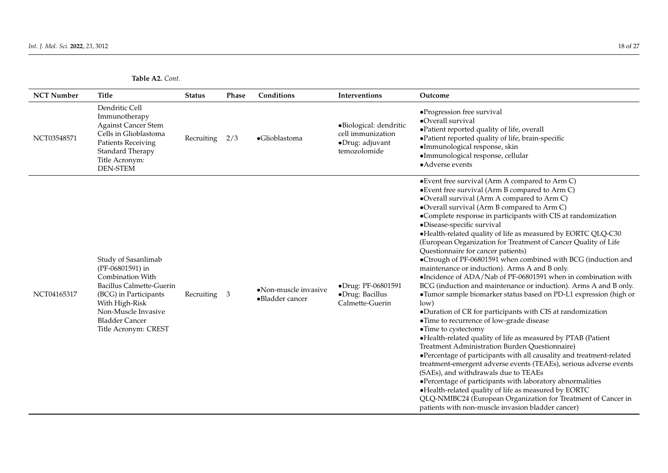| <b>Table A2.</b> Cont. |  |
|------------------------|--|
|                        |  |

| <b>NCT Number</b> | <b>Title</b>                                                                                                                                                                                                      | <b>Status</b> | <b>Phase</b> | Conditions                              | Interventions                                                                  | Outcome                                                                                                                                                                                                                                                                                                                                                                                                                                                                                                                                                                                                                                                                                                                                                                                                                                                                                                                                                                                                                                                                                                                                                                                                                                                                                                                                                                                                                                                                                        |
|-------------------|-------------------------------------------------------------------------------------------------------------------------------------------------------------------------------------------------------------------|---------------|--------------|-----------------------------------------|--------------------------------------------------------------------------------|------------------------------------------------------------------------------------------------------------------------------------------------------------------------------------------------------------------------------------------------------------------------------------------------------------------------------------------------------------------------------------------------------------------------------------------------------------------------------------------------------------------------------------------------------------------------------------------------------------------------------------------------------------------------------------------------------------------------------------------------------------------------------------------------------------------------------------------------------------------------------------------------------------------------------------------------------------------------------------------------------------------------------------------------------------------------------------------------------------------------------------------------------------------------------------------------------------------------------------------------------------------------------------------------------------------------------------------------------------------------------------------------------------------------------------------------------------------------------------------------|
| NCT03548571       | Dendritic Cell<br>Immunotherapy<br><b>Against Cancer Stem</b><br>Cells in Glioblastoma<br><b>Patients Receiving</b><br>Standard Therapy<br>Title Acronym:<br><b>DEN-STEM</b>                                      | Recruiting    | 2/3          | •Glioblastoma                           | ·Biological: dendritic<br>cell immunization<br>·Drug: adjuvant<br>temozolomide | •Progression free survival<br>•Overall survival<br>·Patient reported quality of life, overall<br>• Patient reported quality of life, brain-specific<br>·Immunological response, skin<br>·Immunological response, cellular<br>•Adverse events                                                                                                                                                                                                                                                                                                                                                                                                                                                                                                                                                                                                                                                                                                                                                                                                                                                                                                                                                                                                                                                                                                                                                                                                                                                   |
| NCT04165317       | Study of Sasanlimab<br>(PF-06801591) in<br>Combination With<br><b>Bacillus Calmette-Guerin</b><br>(BCG) in Participants<br>With High-Risk<br>Non-Muscle Invasive<br><b>Bladder Cancer</b><br>Title Acronym: CREST | Recruiting 3  |              | •Non-muscle invasive<br>·Bladder cancer | ·Drug: PF-06801591<br>•Drug: Bacillus<br>Calmette-Guerin                       | • Event free survival (Arm A compared to Arm C)<br>• Event free survival (Arm B compared to Arm C)<br>•Overall survival (Arm A compared to Arm C)<br>•Overall survival (Arm B compared to Arm C)<br>•Complete response in participants with CIS at randomization<br>·Disease-specific survival<br>•Health-related quality of life as measured by EORTC QLQ-C30<br>(European Organization for Treatment of Cancer Quality of Life<br>Questionnaire for cancer patients)<br>•Ctrough of PF-06801591 when combined with BCG (induction and<br>maintenance or induction). Arms A and B only.<br>•Incidence of ADA/Nab of PF-06801591 when in combination with<br>BCG (induction and maintenance or induction). Arms A and B only.<br>•Tumor sample biomarker status based on PD-L1 expression (high or<br>low)<br>•Duration of CR for participants with CIS at randomization<br>• Time to recurrence of low-grade disease<br>•Time to cystectomy<br>·Health-related quality of life as measured by PTAB (Patient<br>Treatment Administration Burden Questionnaire)<br>•Percentage of participants with all causality and treatment-related<br>treatment-emergent adverse events (TEAEs), serious adverse events<br>(SAEs), and withdrawals due to TEAEs<br>•Percentage of participants with laboratory abnormalities<br>•Health-related quality of life as measured by EORTC<br>QLQ-NMIBC24 (European Organization for Treatment of Cancer in<br>patients with non-muscle invasion bladder cancer) |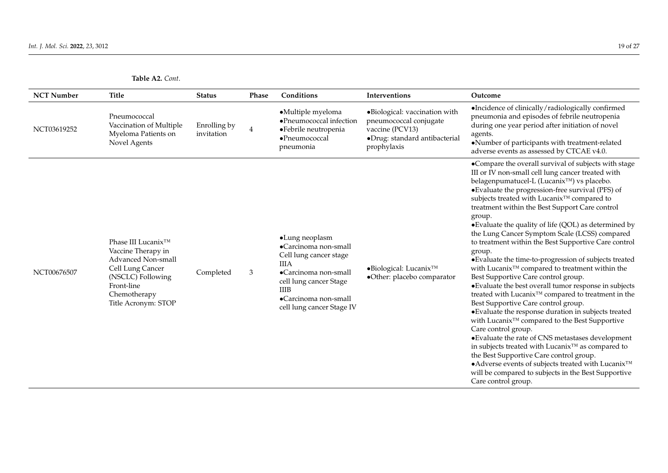<span id="page-18-0"></span>

| <b>NCT Number</b> | <b>Title</b>                                                                                                                                                 | <b>Status</b>              | Phase | Conditions                                                                                                                                                                                            | Interventions                                                                                                              | Outcome                                                                                                                                                                                                                                                                                                                                                                                                                                                                                                                                                                                                                                                                                                                                                                                                                                                                                                                                                                                                                                                                                                                                                                                                                                                                          |
|-------------------|--------------------------------------------------------------------------------------------------------------------------------------------------------------|----------------------------|-------|-------------------------------------------------------------------------------------------------------------------------------------------------------------------------------------------------------|----------------------------------------------------------------------------------------------------------------------------|----------------------------------------------------------------------------------------------------------------------------------------------------------------------------------------------------------------------------------------------------------------------------------------------------------------------------------------------------------------------------------------------------------------------------------------------------------------------------------------------------------------------------------------------------------------------------------------------------------------------------------------------------------------------------------------------------------------------------------------------------------------------------------------------------------------------------------------------------------------------------------------------------------------------------------------------------------------------------------------------------------------------------------------------------------------------------------------------------------------------------------------------------------------------------------------------------------------------------------------------------------------------------------|
| NCT03619252       | Pneumococcal<br>Vaccination of Multiple<br>Myeloma Patients on<br>Novel Agents                                                                               | Enrolling by<br>invitation | 4     | •Multiple myeloma<br>•Pneumococcal infection<br>·Febrile neutropenia<br>•Pneumococcal<br>pneumonia                                                                                                    | ·Biological: vaccination with<br>pneumococcal conjugate<br>vaccine (PCV13)<br>·Drug: standard antibacterial<br>prophylaxis | •Incidence of clinically/radiologically confirmed<br>pneumonia and episodes of febrile neutropenia<br>during one year period after initiation of novel<br>agents.<br>•Number of participants with treatment-related<br>adverse events as assessed by CTCAE v4.0.                                                                                                                                                                                                                                                                                                                                                                                                                                                                                                                                                                                                                                                                                                                                                                                                                                                                                                                                                                                                                 |
| NCT00676507       | Phase III Lucanix™<br>Vaccine Therapy in<br>Advanced Non-small<br>Cell Lung Cancer<br>(NSCLC) Following<br>Front-line<br>Chemotherapy<br>Title Acronym: STOP | Completed                  | 3     | •Lung neoplasm<br>•Carcinoma non-small<br>Cell lung cancer stage<br><b>IIIA</b><br>•Carcinoma non-small<br>cell lung cancer Stage<br><b>IIIB</b><br>•Carcinoma non-small<br>cell lung cancer Stage IV | $\bullet$ Biological: Lucanix <sup>™</sup><br>·Other: placebo comparator                                                   | •Compare the overall survival of subjects with stage<br>III or IV non-small cell lung cancer treated with<br>belagenpumatucel-L (Lucanix <sup>TM</sup> ) vs placebo.<br>• Evaluate the progression-free survival (PFS) of<br>subjects treated with Lucanix™ compared to<br>treatment within the Best Support Care control<br>group.<br>• Evaluate the quality of life (QOL) as determined by<br>the Lung Cancer Symptom Scale (LCSS) compared<br>to treatment within the Best Supportive Care control<br>group.<br>• Evaluate the time-to-progression of subjects treated<br>with Lucanix <sup>™</sup> compared to treatment within the<br>Best Supportive Care control group.<br>• Evaluate the best overall tumor response in subjects<br>treated with Lucanix™ compared to treatment in the<br>Best Supportive Care control group.<br>• Evaluate the response duration in subjects treated<br>with Lucanix™ compared to the Best Supportive<br>Care control group.<br>• Evaluate the rate of CNS metastases development<br>in subjects treated with $Lucanix^{TM}$ as compared to<br>the Best Supportive Care control group.<br>• Adverse events of subjects treated with Lucanix <sup>TM</sup><br>will be compared to subjects in the Best Supportive<br>Care control group. |

**Table A2.** *Cont*.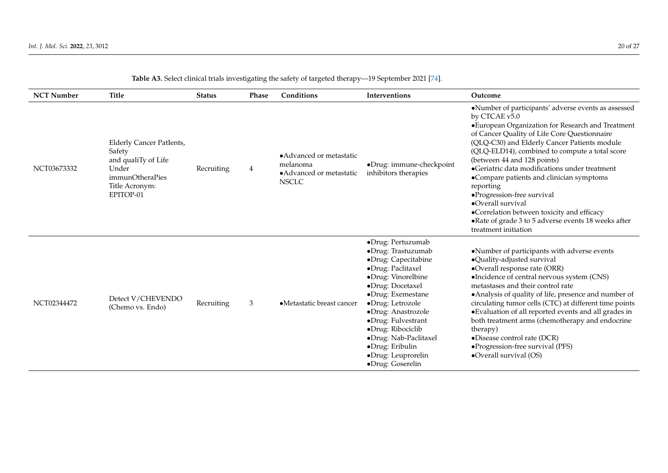| <b>NCT Number</b> | <b>Title</b>                                                                                                                       | <b>Status</b> | <b>Phase</b>   | Conditions                                                                       | Interventions                                                                                                                                                                                                                                                                                                                 | Outcome                                                                                                                                                                                                                                                                                                                                                                                                                                                                                                                                                                                                 |
|-------------------|------------------------------------------------------------------------------------------------------------------------------------|---------------|----------------|----------------------------------------------------------------------------------|-------------------------------------------------------------------------------------------------------------------------------------------------------------------------------------------------------------------------------------------------------------------------------------------------------------------------------|---------------------------------------------------------------------------------------------------------------------------------------------------------------------------------------------------------------------------------------------------------------------------------------------------------------------------------------------------------------------------------------------------------------------------------------------------------------------------------------------------------------------------------------------------------------------------------------------------------|
| NCT03673332       | <b>Elderly Cancer PatIents,</b><br>Safety<br>and qualiTy of Life<br>Under<br><i>immunOtheraPies</i><br>Title Acronym:<br>EPITOP-01 | Recruiting    | $\overline{4}$ | • Advanced or metastatic<br>melanoma<br>• Advanced or metastatic<br><b>NSCLC</b> | •Drug: immune-checkpoint<br>inhibitors therapies                                                                                                                                                                                                                                                                              | •Number of participants' adverse events as assessed<br>by CTCAE v5.0<br>• European Organization for Research and Treatment<br>of Cancer Quality of Life Core Questionnaire<br>(QLQ-C30) and Elderly Cancer Patients module<br>(QLQ-ELD14), combined to compute a total score<br>(between 44 and 128 points)<br>• Geriatric data modifications under treatment<br>•Compare patients and clinician symptoms<br>reporting<br>·Progression-free survival<br>·Overall survival<br>•Correlation between toxicity and efficacy<br>• Rate of grade 3 to 5 adverse events 18 weeks after<br>treatment initiation |
| NCT02344472       | Detect V/CHEVENDO<br>(Chemo vs. Endo)                                                                                              | Recruiting    | 3              | ·Metastatic breast cancer                                                        | ·Drug: Pertuzumab<br>·Drug: Trastuzumab<br>·Drug: Capecitabine<br>·Drug: Paclitaxel<br>·Drug: Vinorelbine<br>·Drug: Docetaxel<br>·Drug: Exemestane<br>·Drug: Letrozole<br>·Drug: Anastrozole<br>·Drug: Fulvestrant<br>·Drug: Ribociclib<br>·Drug: Nab-Paclitaxel<br>·Drug: Eribulin<br>·Drug: Leuprorelin<br>·Drug: Goserelin | •Number of participants with adverse events<br>·Quality-adjusted survival<br>•Overall response rate (ORR)<br>·Incidence of central nervous system (CNS)<br>metastases and their control rate<br>· Analysis of quality of life, presence and number of<br>circulating tumor cells (CTC) at different time points<br>• Evaluation of all reported events and all grades in<br>both treatment arms (chemotherapy and endocrine<br>therapy)<br>·Disease control rate (DCR)<br>•Progression-free survival (PFS)<br>•Overall survival (OS)                                                                    |

# **Table A3.** Select clinical trials investigating the safety of targeted therapy—19 September 2021 [\[74\]](#page-25-26).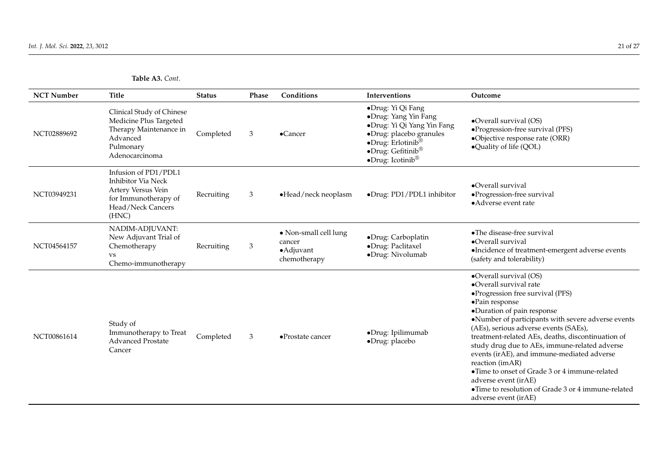**Table A3.** *Cont*.

| <b>NCT Number</b> | <b>Title</b>                                                                                                                  | <b>Status</b> | Phase | Conditions                                                    | Interventions                                                                                                                                                                                           | Outcome                                                                                                                                                                                                                                                                                                                                                                                                                                                                                                                                                             |
|-------------------|-------------------------------------------------------------------------------------------------------------------------------|---------------|-------|---------------------------------------------------------------|---------------------------------------------------------------------------------------------------------------------------------------------------------------------------------------------------------|---------------------------------------------------------------------------------------------------------------------------------------------------------------------------------------------------------------------------------------------------------------------------------------------------------------------------------------------------------------------------------------------------------------------------------------------------------------------------------------------------------------------------------------------------------------------|
| NCT02889692       | Clinical Study of Chinese<br>Medicine Plus Targeted<br>Therapy Maintenance in<br>Advanced<br>Pulmonary<br>Adenocarcinoma      | Completed     | 3     | $\bullet$ Cancer                                              | •Drug: Yi Qi Fang<br>·Drug: Yang Yin Fang<br>·Drug: Yi Qi Yang Yin Fang<br>·Drug: placebo granules<br>$\bullet$ Drug: Erlotinib®<br>$\bullet$ Drug: Gefitinib®<br>$\bullet$ Drug: Icotinib <sup>®</sup> | •Overall survival (OS)<br>·Progression-free survival (PFS)<br>·Objective response rate (ORR)<br>•Quality of life (QOL)                                                                                                                                                                                                                                                                                                                                                                                                                                              |
| NCT03949231       | Infusion of PD1/PDL1<br><b>Inhibitor Via Neck</b><br>Artery Versus Vein<br>for Immunotherapy of<br>Head/Neck Cancers<br>(HNC) | Recruiting    | 3     | •Head/neck neoplasm                                           | ·Drug: PD1/PDL1 inhibitor                                                                                                                                                                               | •Overall survival<br>·Progression-free survival<br>• Adverse event rate                                                                                                                                                                                                                                                                                                                                                                                                                                                                                             |
| NCT04564157       | NADIM-ADJUVANT:<br>New Adjuvant Trial of<br>Chemotherapy<br><b>VS</b><br>Chemo-immunotherapy                                  | Recruiting    | 3     | • Non-small cell lung<br>cancer<br>• Adjuvant<br>chemotherapy | ·Drug: Carboplatin<br>·Drug: Paclitaxel<br>·Drug: Nivolumab                                                                                                                                             | •The disease-free survival<br>•Overall survival<br>·Incidence of treatment-emergent adverse events<br>(safety and tolerability)                                                                                                                                                                                                                                                                                                                                                                                                                                     |
| NCT00861614       | Study of<br>Immunotherapy to Treat<br><b>Advanced Prostate</b><br>Cancer                                                      | Completed     | 3     | $\bullet$ Prostate cancer                                     | ·Drug: Ipilimumab<br>·Drug: placebo                                                                                                                                                                     | •Overall survival (OS)<br>•Overall survival rate<br>• Progression free survival (PFS)<br>·Pain response<br>·Duration of pain response<br>·Number of participants with severe adverse events<br>(AEs), serious adverse events (SAEs),<br>treatment-related AEs, deaths, discontinuation of<br>study drug due to AEs, immune-related adverse<br>events (irAE), and immune-mediated adverse<br>reaction (imAR)<br>•Time to onset of Grade 3 or 4 immune-related<br>adverse event (irAE)<br>• Time to resolution of Grade 3 or 4 immune-related<br>adverse event (irAE) |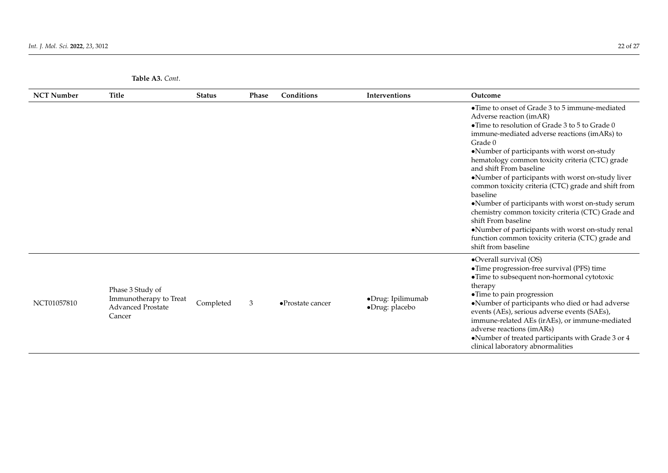| <b>NCT Number</b> | Title                                                                            | <b>Status</b> | Phase | Conditions                | Interventions                       | Outcome                                                                                                                                                                                                                                                                                                                                                                                                                                                                                                                                                                                                                                                                                                            |
|-------------------|----------------------------------------------------------------------------------|---------------|-------|---------------------------|-------------------------------------|--------------------------------------------------------------------------------------------------------------------------------------------------------------------------------------------------------------------------------------------------------------------------------------------------------------------------------------------------------------------------------------------------------------------------------------------------------------------------------------------------------------------------------------------------------------------------------------------------------------------------------------------------------------------------------------------------------------------|
|                   |                                                                                  |               |       |                           |                                     | • Time to onset of Grade 3 to 5 immune-mediated<br>Adverse reaction (imAR)<br>• Time to resolution of Grade 3 to 5 to Grade $0$<br>immune-mediated adverse reactions (imARs) to<br>Grade 0<br>•Number of participants with worst on-study<br>hematology common toxicity criteria (CTC) grade<br>and shift From baseline<br>•Number of participants with worst on-study liver<br>common toxicity criteria (CTC) grade and shift from<br>baseline<br>•Number of participants with worst on-study serum<br>chemistry common toxicity criteria (CTC) Grade and<br>shift From baseline<br>•Number of participants with worst on-study renal<br>function common toxicity criteria (CTC) grade and<br>shift from baseline |
| NCT01057810       | Phase 3 Study of<br>Immunotherapy to Treat<br><b>Advanced Prostate</b><br>Cancer | Completed     | 3     | $\bullet$ Prostate cancer | ·Drug: Ipilimumab<br>·Drug: placebo | •Overall survival (OS)<br>• Time progression-free survival (PFS) time<br>• Time to subsequent non-hormonal cytotoxic<br>therapy<br>• Time to pain progression<br>•Number of participants who died or had adverse<br>events (AEs), serious adverse events (SAEs),<br>immune-related AEs (irAEs), or immune-mediated<br>adverse reactions (imARs)<br>•Number of treated participants with Grade 3 or 4<br>clinical laboratory abnormalities                                                                                                                                                                                                                                                                          |

**Table A3.** *Cont*.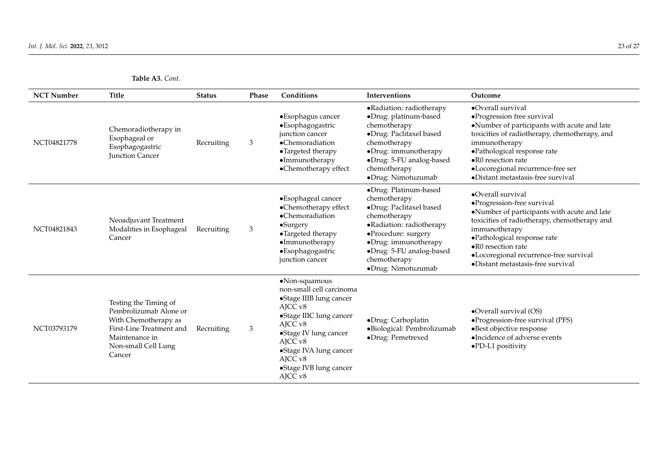<span id="page-22-0"></span>

| <b>NCT Number</b> | Title                                                                                                                                                  | <b>Status</b> | Phase | Conditions                                                                                                                                                                                                                                                | Interventions                                                                                                                                                                                                                 | Outcome                                                                                                                                                                                                                                                                                                      |
|-------------------|--------------------------------------------------------------------------------------------------------------------------------------------------------|---------------|-------|-----------------------------------------------------------------------------------------------------------------------------------------------------------------------------------------------------------------------------------------------------------|-------------------------------------------------------------------------------------------------------------------------------------------------------------------------------------------------------------------------------|--------------------------------------------------------------------------------------------------------------------------------------------------------------------------------------------------------------------------------------------------------------------------------------------------------------|
| NCT04821778       | Chemoradiotherapy in<br>Esophageal or<br>Esophagogastric<br><b>Junction Cancer</b>                                                                     | Recruiting    | 3     | •Esophagus cancer<br>·Esophagogastric<br>junction cancer<br>•Chemoradiation<br>•Targeted therapy<br>·Immunotherapy<br>•Chemotherapy effect                                                                                                                | •Radiation: radiotherapy<br>·Drug: platinum-based<br>chemotherapy<br>·Drug: Paclitaxel based<br>chemotherapy<br>•Drug: immunotherapy<br>•Drug: 5-FU analog-based<br>chemotherapy<br>·Drug: Nimotuzumab                        | •Overall survival<br>·Progression free survival<br>•Number of participants with acute and late<br>toxicities of radiotherapy, chemotherapy, and<br>immunotherapy<br>·Pathological response rate<br>$\bullet$ R0 resection rate<br>·Locoregional recurrence-free ser<br>•Distant metastasis-free survival     |
| NCT04821843       | Neoadjuvant Treatment<br>Modalities in Esophageal<br>Cancer                                                                                            | Recruiting    | 3     | •Esophageal cancer<br>•Chemotherapy effect<br>•Chemoradiation<br>$\bullet$ Surgery<br>•Targeted therapy<br>$\bullet$ Immunotherapy<br>·Esophagogastric<br>junction cancer                                                                                 | ·Drug: Platinum-based<br>chemotherapy<br>·Drug: Paclitaxel based<br>chemotherapy<br>•Radiation: radiotherapy<br>·Procedure: surgery<br>•Drug: immunotherapy<br>·Drug: 5-FU analog-based<br>chemotherapy<br>·Drug: Nimotuzumab | $\bullet$ Overall survival<br>·Progression-free survival<br>•Number of participants with acute and late<br>toxicities of radiotherapy, chemotherapy and<br>immunotherapy<br>·Pathological response rate<br>•R0 resection rate<br>·Locoregional recurrence-free survival<br>•Distant metastasis-free survival |
| NCT03793179       | Testing the Timing of<br>Pembrolizumab Alone or<br>With Chemotherapy as<br>First-Line Treatment and<br>Maintenance in<br>Non-small Cell Lung<br>Cancer | Recruiting    | 3     | •Non-squamous<br>non-small cell carcinoma<br>•Stage IIIB lung cancer<br>AJCC v8<br>•Stage IIIC lung cancer<br>AJCC <sub>v8</sub><br>•Stage IV lung cancer<br>AJCC v8<br>•Stage IVA lung cancer<br>AJCC v8<br>•Stage IVB lung cancer<br>AJCC <sub>v8</sub> | ·Drug: Carboplatin<br>·Biological: Pembrolizumab<br>·Drug: Pemetrexed                                                                                                                                                         | •Overall survival (OS)<br>·Progression-free survival (PFS)<br>·Best objective response<br>•Incidence of adverse events<br>.PD-L1 positivity                                                                                                                                                                  |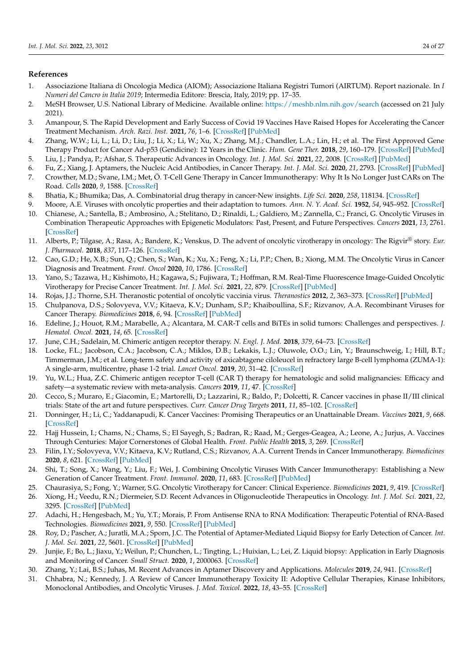### **References**

- <span id="page-23-0"></span>1. Associazione Italiana di Oncologia Medica (AIOM); Associazione Italiana Registri Tumori (AIRTUM). Report nazionale. In *I Numeri del Cancro in Italia 2019*; Intermedia Editore: Brescia, Italy, 2019; pp. 17–35.
- <span id="page-23-1"></span>2. MeSH Browser, U.S. National Library of Medicine. Available online: <https://meshb.nlm.nih.gov/search> (accessed on 21 July 2021).
- <span id="page-23-2"></span>3. Amanpour, S. The Rapid Development and Early Success of Covid 19 Vaccines Have Raised Hopes for Accelerating the Cancer Treatment Mechanism. *Arch. Razi. Inst.* **2021**, *76*, 1–6. [\[CrossRef\]](http://doi.org/10.22092/ari.2021.353761.1612) [\[PubMed\]](http://www.ncbi.nlm.nih.gov/pubmed/33818952)
- <span id="page-23-3"></span>4. Zhang, W.W.; Li, L.; Li, D.; Liu, J.; Li, X.; Li, W.; Xu, X.; Zhang, M.J.; Chandler, L.A.; Lin, H.; et al. The First Approved Gene Therapy Product for Cancer Ad-p53 (Gendicine): 12 Years in the Clinic. *Hum. Gene Ther.* **2018**, *29*, 160–179. [\[CrossRef\]](http://doi.org/10.1089/hum.2017.218) [\[PubMed\]](http://www.ncbi.nlm.nih.gov/pubmed/29338444)
- <span id="page-23-4"></span>5. Liu, J.; Pandya, P.; Afshar, S. Therapeutic Advances in Oncology. *Int. J. Mol. Sci.* **2021**, *22*, 2008. [\[CrossRef\]](http://doi.org/10.3390/ijms22042008) [\[PubMed\]](http://www.ncbi.nlm.nih.gov/pubmed/33670524)
- <span id="page-23-6"></span><span id="page-23-5"></span>6. Fu, Z.; Xiang, J. Aptamers, the Nucleic Acid Antibodies, in Cancer Therapy. *Int. J. Mol. Sci.* **2020**, *21*, 2793. [\[CrossRef\]](http://doi.org/10.3390/ijms21082793) [\[PubMed\]](http://www.ncbi.nlm.nih.gov/pubmed/32316469) 7. Crowther, M.D.; Svane, I.M.; Met, Ö. T-Cell Gene Therapy in Cancer Immunotherapy: Why It Is No Longer Just CARs on The Road. *Cells* **2020**, *9*, 1588. [\[CrossRef\]](http://doi.org/10.3390/cells9071588)
- <span id="page-23-7"></span>8. Bhatia, K.; Bhumika; Das, A. Combinatorial drug therapy in cancer-New insights. *Life Sci.* **2020**, *258*, 118134. [\[CrossRef\]](http://doi.org/10.1016/j.lfs.2020.118134)
- <span id="page-23-8"></span>9. Moore, A.E. Viruses with oncolytic properties and their adaptation to tumors. *Ann. N. Y. Acad. Sci.* **1952**, *54*, 945–952. [\[CrossRef\]](http://doi.org/10.1111/j.1749-6632.1952.tb39969.x)
- <span id="page-23-9"></span>10. Chianese, A.; Santella, B.; Ambrosino, A.; Stelitano, D.; Rinaldi, L.; Galdiero, M.; Zannella, C.; Franci, G. Oncolytic Viruses in Combination Therapeutic Approaches with Epigenetic Modulators: Past, Present, and Future Perspectives. *Cancers* **2021**, *13*, 2761. [\[CrossRef\]](http://doi.org/10.3390/cancers13112761)
- <span id="page-23-10"></span>11. Alberts, P.; Tilgase, A.; Rasa, A.; Bandere, K.; Venskus, D. The advent of oncolytic virotherapy in oncology: The Rigvir® story. *Eur. J. Pharmacol.* **2018**, *837*, 117–126. [\[CrossRef\]](http://doi.org/10.1016/j.ejphar.2018.08.042)
- <span id="page-23-11"></span>12. Cao, G.D.; He, X.B.; Sun, Q.; Chen, S.; Wan, K.; Xu, X.; Feng, X.; Li, P.P.; Chen, B.; Xiong, M.M. The Oncolytic Virus in Cancer Diagnosis and Treatment. *Front. Oncol* **2020**, *10*, 1786. [\[CrossRef\]](http://doi.org/10.3389/fonc.2020.01786)
- <span id="page-23-12"></span>13. Yano, S.; Tazawa, H.; Kishimoto, H.; Kagawa, S.; Fujiwara, T.; Hoffman, R.M. Real-Time Fluorescence Image-Guided Oncolytic Virotherapy for Precise Cancer Treatment. *Int. J. Mol. Sci.* **2021**, *22*, 879. [\[CrossRef\]](http://doi.org/10.3390/ijms22020879) [\[PubMed\]](http://www.ncbi.nlm.nih.gov/pubmed/33477279)
- 14. Rojas, J.J.; Thorne, S.H. Theranostic potential of oncolytic vaccinia virus. *Theranostics* **2012**, *2*, 363–373. [\[CrossRef\]](http://doi.org/10.7150/thno.3724) [\[PubMed\]](http://www.ncbi.nlm.nih.gov/pubmed/22509200)
- <span id="page-23-13"></span>15. Chulpanova, D.S.; Solovyeva, V.V.; Kitaeva, K.V.; Dunham, S.P.; Khaiboullina, S.F.; Rizvanov, A.A. Recombinant Viruses for Cancer Therapy. *Biomedicines* **2018**, *6*, 94. [\[CrossRef\]](http://doi.org/10.3390/biomedicines6040094) [\[PubMed\]](http://www.ncbi.nlm.nih.gov/pubmed/30257488)
- <span id="page-23-14"></span>16. Edeline, J.; Houot, R.M.; Marabelle, A.; Alcantara, M. CAR-T cells and BiTEs in solid tumors: Challenges and perspectives. *J. Hematol. Oncol.* **2021**, *14*, 65. [\[CrossRef\]](http://doi.org/10.1186/s13045-021-01067-5)
- <span id="page-23-15"></span>17. June, C.H.; Sadelain, M. Chimeric antigen receptor therapy. *N. Engl. J. Med.* **2018**, *379*, 64–73. [\[CrossRef\]](http://doi.org/10.1056/NEJMra1706169)
- <span id="page-23-16"></span>18. Locke, F.L.; Jacobson, C.A.; Jacobson, C.A.; Miklos, D.B.; Lekakis, L.J.; Oluwole, O.O.; Lin, Y.; Braunschweig, I.; Hill, B.T.; Timmerman, J.M.; et al. Long-term safety and activity of axicabtagene ciloleucel in refractory large B-cell lymphoma (ZUMA-1): A single-arm, multicentre, phase 1-2 trial. *Lancet Oncol.* **2019**, *20*, 31–42. [\[CrossRef\]](http://doi.org/10.1016/S1470-2045(18)30864-7)
- <span id="page-23-17"></span>19. Yu, W.L.; Hua, Z.C. Chimeric antigen receptor T-cell (CAR T) therapy for hematologic and solid malignancies: Efficacy and safety—a systematic review with meta-analysis. *Cancers* **2019**, *11*, 47. [\[CrossRef\]](http://doi.org/10.3390/cancers11010047)
- <span id="page-23-18"></span>20. Cecco, S.; Muraro, E.; Giacomin, E.; Martorelli, D.; Lazzarini, R.; Baldo, P.; Dolcetti, R. Cancer vaccines in phase II/III clinical trials: State of the art and future perspectives. *Curr. Cancer Drug Targets* **2011**, *11*, 85–102. [\[CrossRef\]](http://doi.org/10.2174/156800911793743664)
- <span id="page-23-19"></span>21. Donninger, H.; Li, C.; Yaddanapudi, K. Cancer Vaccines: Promising Therapeutics or an Unattainable Dream. *Vaccines* **2021**, *9*, 668. [\[CrossRef\]](http://doi.org/10.3390/vaccines9060668)
- <span id="page-23-20"></span>22. Hajj Hussein, I.; Chams, N.; Chams, S.; El Sayegh, S.; Badran, R.; Raad, M.; Gerges-Geagea, A.; Leone, A.; Jurjus, A. Vaccines Through Centuries: Major Cornerstones of Global Health. *Front. Public Health* **2015**, *3*, 269. [\[CrossRef\]](http://doi.org/10.3389/fpubh.2015.00269)
- <span id="page-23-21"></span>23. Filin, I.Y.; Solovyeva, V.V.; Kitaeva, K.V.; Rutland, C.S.; Rizvanov, A.A. Current Trends in Cancer Immunotherapy. *Biomedicines* **2020**, *8*, 621. [\[CrossRef\]](http://doi.org/10.3390/biomedicines8120621) [\[PubMed\]](http://www.ncbi.nlm.nih.gov/pubmed/33348704)
- <span id="page-23-22"></span>24. Shi, T.; Song, X.; Wang, Y.; Liu, F.; Wei, J. Combining Oncolytic Viruses With Cancer Immunotherapy: Establishing a New Generation of Cancer Treatment. *Front. Immunol.* **2020**, *11*, 683. [\[CrossRef\]](http://doi.org/10.3389/fimmu.2020.00683) [\[PubMed\]](http://www.ncbi.nlm.nih.gov/pubmed/32411132)
- <span id="page-23-23"></span>25. Chaurasiya, S.; Fong, Y.; Warner, S.G. Oncolytic Virotherapy for Cancer: Clinical Experience. *Biomedicines* **2021**, *9*, 419. [\[CrossRef\]](http://doi.org/10.3390/biomedicines9040419)
- <span id="page-23-24"></span>26. Xiong, H.; Veedu, R.N.; Diermeier, S.D. Recent Advances in Oligonucleotide Therapeutics in Oncology. *Int. J. Mol. Sci.* **2021**, *22*, 3295. [\[CrossRef\]](http://doi.org/10.3390/ijms22073295) [\[PubMed\]](http://www.ncbi.nlm.nih.gov/pubmed/33804856)
- <span id="page-23-25"></span>27. Adachi, H.; Hengesbach, M.; Yu, Y.T.; Morais, P. From Antisense RNA to RNA Modification: Therapeutic Potential of RNA-Based Technologies. *Biomedicines* **2021**, *9*, 550. [\[CrossRef\]](http://doi.org/10.3390/biomedicines9050550) [\[PubMed\]](http://www.ncbi.nlm.nih.gov/pubmed/34068948)
- <span id="page-23-26"></span>28. Roy, D.; Pascher, A.; Juratli, M.A.; Sporn, J.C. The Potential of Aptamer-Mediated Liquid Biopsy for Early Detection of Cancer. *Int. J. Mol. Sci.* **2021**, *22*, 5601. [\[CrossRef\]](http://doi.org/10.3390/ijms22115601) [\[PubMed\]](http://www.ncbi.nlm.nih.gov/pubmed/34070509)
- 29. Junjie, F.; Bo, L.; Jiaxu, Y.; Weilun, P.; Chunchen, L.; Tingting, L.; Huixian, L.; Lei, Z. Liquid biopsy: Application in Early Diagnosis and Monitoring of Cancer. *Small Struct.* **2020**, *1*, 2000063. [\[CrossRef\]](http://doi.org/10.1002/sstr.20200006)
- <span id="page-23-27"></span>30. Zhang, Y.; Lai, B.S.; Juhas, M. Recent Advances in Aptamer Discovery and Applications. *Molecules* **2019**, *24*, 941. [\[CrossRef\]](http://doi.org/10.3390/molecules24050941)
- <span id="page-23-28"></span>31. Chhabra, N.; Kennedy, J. A Review of Cancer Immunotherapy Toxicity II: Adoptive Cellular Therapies, Kinase Inhibitors, Monoclonal Antibodies, and Oncolytic Viruses. *J. Med. Toxicol.* **2022**, *18*, 43–55. [\[CrossRef\]](http://doi.org/10.1007/s13181-021-00835-6)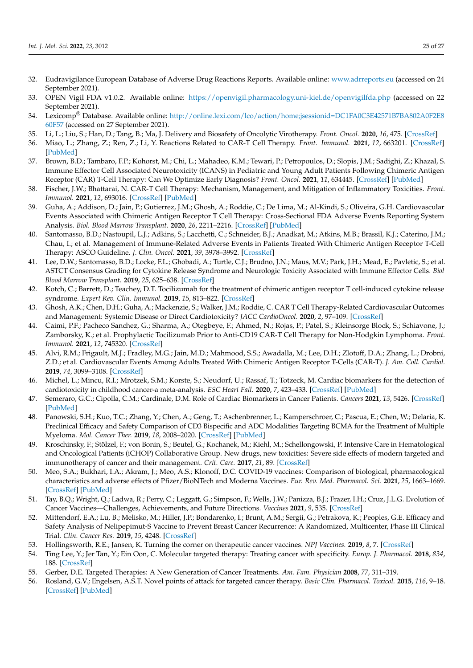- <span id="page-24-0"></span>32. Eudravigilance European Database of Adverse Drug Reactions Reports. Available online: <www.adrreports.eu> (accessed on 24 September 2021).
- 33. OPEN Vigil FDA v1.0.2. Available online: <https://openvigil.pharmacology.uni-kiel.de/openvigilfda.php> (accessed on 22 September 2021).
- <span id="page-24-1"></span>34. Lexicomp® Database. Available online: [http://online.lexi.com/lco/action/home;jsessionid=DC1FA0C3E42571B7BA802A0F2E8](http://online.lexi.com/lco/action/home;jsessionid=DC1FA0C3E42571B7BA802A0F2E860F57) [60F57](http://online.lexi.com/lco/action/home;jsessionid=DC1FA0C3E42571B7BA802A0F2E860F57) (accessed on 27 September 2021).
- <span id="page-24-2"></span>35. Li, L.; Liu, S.; Han, D.; Tang, B.; Ma, J. Delivery and Biosafety of Oncolytic Virotherapy. *Front. Oncol.* **2020**, *16*, 475. [\[CrossRef\]](http://doi.org/10.3389/fonc.2020.00475)
- <span id="page-24-3"></span>36. Miao, L.; Zhang, Z.; Ren, Z.; Li, Y. Reactions Related to CAR-T Cell Therapy. *Front. Immunol.* **2021**, *12*, 663201. [\[CrossRef\]](http://doi.org/10.3389/fimmu.2021.663201) [\[PubMed\]](http://www.ncbi.nlm.nih.gov/pubmed/33995389)
- <span id="page-24-4"></span>37. Brown, B.D.; Tambaro, F.P.; Kohorst, M.; Chi, L.; Mahadeo, K.M.; Tewari, P.; Petropoulos, D.; Slopis, J.M.; Sadighi, Z.; Khazal, S. Immune Effector Cell Associated Neurotoxicity (ICANS) in Pediatric and Young Adult Patients Following Chimeric Antigen Receptor (CAR) T-Cell Therapy: Can We Optimize Early Diagnosis? *Front. Oncol.* **2021**, *11*, 634445. [\[CrossRef\]](http://doi.org/10.3389/fonc.2021.634445) [\[PubMed\]](http://www.ncbi.nlm.nih.gov/pubmed/33763368)
- <span id="page-24-5"></span>38. Fischer, J.W.; Bhattarai, N. CAR-T Cell Therapy: Mechanism, Management, and Mitigation of Inflammatory Toxicities. *Front. Immunol.* **2021**, *12*, 693016. [\[CrossRef\]](http://doi.org/10.3389/fimmu.2021.693016) [\[PubMed\]](http://www.ncbi.nlm.nih.gov/pubmed/34220853)
- <span id="page-24-6"></span>39. Guha, A.; Addison, D.; Jain, P.; Gutierrez, J.M.; Ghosh, A.; Roddie, C.; De Lima, M.; Al-Kindi, S.; Oliveira, G.H. Cardiovascular Events Associated with Chimeric Antigen Receptor T Cell Therapy: Cross-Sectional FDA Adverse Events Reporting System Analysis. *Biol. Blood Marrow Transplant.* **2020**, *26*, 2211–2216. [\[CrossRef\]](http://doi.org/10.1016/j.bbmt.2020.08.036) [\[PubMed\]](http://www.ncbi.nlm.nih.gov/pubmed/32966880)
- <span id="page-24-7"></span>40. Santomasso, B.D.; Nastoupil, L.J.; Adkins, S.; Lacchetti, C.; Schneider, B.J.; Anadkat, M.; Atkins, M.B.; Brassil, K.J.; Caterino, J.M.; Chau, I.; et al. Management of Immune-Related Adverse Events in Patients Treated With Chimeric Antigen Receptor T-Cell Therapy: ASCO Guideline. *J. Clin. Oncol.* **2021**, *39*, 3978–3992. [\[CrossRef\]](http://doi.org/10.1200/JCO.21.01992)
- <span id="page-24-8"></span>41. Lee, D.W.; Santomasso, B.D.; Locke, F.L.; Ghobadi, A.; Turtle, C.J.; Brudno, J.N.; Maus, M.V.; Park, J.H.; Mead, E.; Pavletic, S.; et al. ASTCT Consensus Grading for Cytokine Release Syndrome and Neurologic Toxicity Associated with Immune Effector Cells. *Biol Blood Marrow Transplant.* **2019**, *25*, 625–638. [\[CrossRef\]](http://doi.org/10.1016/j.bbmt.2018.12.758)
- <span id="page-24-9"></span>42. Kotch, C.; Barrett, D.; Teachey, D.T. Tocilizumab for the treatment of chimeric antigen receptor T cell-induced cytokine release syndrome. *Expert Rev. Clin. Immunol.* **2019**, *15*, 813–822. [\[CrossRef\]](http://doi.org/10.1080/1744666X.2019.1629904)
- <span id="page-24-10"></span>43. Ghosh, A.K.; Chen, D.H.; Guha, A.; Mackenzie, S.; Walker, J.M.; Roddie, C. CAR T Cell Therapy-Related Cardiovascular Outcomes and Management: Systemic Disease or Direct Cardiotoxicity? *JACC CardioOncol.* **2020**, *2*, 97–109. [\[CrossRef\]](http://doi.org/10.1016/j.jaccao.2020.02.011)
- <span id="page-24-11"></span>44. Caimi, P.F.; Pacheco Sanchez, G.; Sharma, A.; Otegbeye, F.; Ahmed, N.; Rojas, P.; Patel, S.; Kleinsorge Block, S.; Schiavone, J.; Zamborsky, K.; et al. Prophylactic Tocilizumab Prior to Anti-CD19 CAR-T Cell Therapy for Non-Hodgkin Lymphoma. *Front. Immunol.* **2021**, *12*, 745320. [\[CrossRef\]](http://doi.org/10.3389/fimmu.2021.745320)
- <span id="page-24-12"></span>45. Alvi, R.M.; Frigault, M.J.; Fradley, M.G.; Jain, M.D.; Mahmood, S.S.; Awadalla, M.; Lee, D.H.; Zlotoff, D.A.; Zhang, L.; Drobni, Z.D.; et al. Cardiovascular Events Among Adults Treated With Chimeric Antigen Receptor T-Cells (CAR-T). *J. Am. Coll. Cardiol.* **2019**, *74*, 3099–3108. [\[CrossRef\]](http://doi.org/10.1016/j.jacc.2019.10.038)
- <span id="page-24-13"></span>46. Michel, L.; Mincu, R.I.; Mrotzek, S.M.; Korste, S.; Neudorf, U.; Rassaf, T.; Totzeck, M. Cardiac biomarkers for the detection of cardiotoxicity in childhood cancer-a meta-analysis. *ESC Heart Fail.* **2020**, *7*, 423–433. [\[CrossRef\]](http://doi.org/10.1002/ehf2.12589) [\[PubMed\]](http://www.ncbi.nlm.nih.gov/pubmed/32069386)
- <span id="page-24-14"></span>47. Semeraro, G.C.; Cipolla, C.M.; Cardinale, D.M. Role of Cardiac Biomarkers in Cancer Patients. *Cancers* **2021**, *13*, 5426. [\[CrossRef\]](http://doi.org/10.3390/cancers13215426) [\[PubMed\]](http://www.ncbi.nlm.nih.gov/pubmed/34771589)
- <span id="page-24-15"></span>48. Panowski, S.H.; Kuo, T.C.; Zhang, Y.; Chen, A.; Geng, T.; Aschenbrenner, L.; Kamperschroer, C.; Pascua, E.; Chen, W.; Delaria, K. Preclinical Efficacy and Safety Comparison of CD3 Bispecific and ADC Modalities Targeting BCMA for the Treatment of Multiple Myeloma. *Mol. Cancer Ther.* **2019**, *18*, 2008–2020. [\[CrossRef\]](http://doi.org/10.1158/1535-7163.MCT-19-0007) [\[PubMed\]](http://www.ncbi.nlm.nih.gov/pubmed/31434693)
- <span id="page-24-16"></span>49. Kroschinsky, F.; Stölzel, F.; von Bonin, S.; Beutel, G.; Kochanek, M.; Kiehl, M.; Schellongowski, P. Intensive Care in Hematological and Oncological Patients (iCHOP) Collaborative Group. New drugs, new toxicities: Severe side effects of modern targeted and immunotherapy of cancer and their management. *Crit. Care.* **2017**, *21*, 89. [\[CrossRef\]](http://doi.org/10.1186/s13054-017-1678-1)
- <span id="page-24-17"></span>50. Meo, S.A.; Bukhari, I.A.; Akram, J.; Meo, A.S.; Klonoff, D.C. COVID-19 vaccines: Comparison of biological, pharmacological characteristics and adverse effects of Pfizer/BioNTech and Moderna Vaccines. *Eur. Rev. Med. Pharmacol. Sci.* **2021**, *25*, 1663–1669. [\[CrossRef\]](http://doi.org/10.26355/eurrev_202102_24877) [\[PubMed\]](http://www.ncbi.nlm.nih.gov/pubmed/33629336)
- <span id="page-24-18"></span>51. Tay, B.Q.; Wright, Q.; Ladwa, R.; Perry, C.; Leggatt, G.; Simpson, F.; Wells, J.W.; Panizza, B.J.; Frazer, I.H.; Cruz, J.L.G. Evolution of Cancer Vaccines—Challenges, Achievements, and Future Directions. *Vaccines* **2021**, *9*, 535. [\[CrossRef\]](http://doi.org/10.3390/vaccines9050535)
- 52. Mittendorf, E.A.; Lu, B.; Melisko, M.; Hiller, J.P.; Bondarenko, I.; Brunt, A.M.; Sergii, G.; Petrakova, K.; Peoples, G.E. Efficacy and Safety Analysis of Nelipepimut-S Vaccine to Prevent Breast Cancer Recurrence: A Randomized, Multicenter, Phase III Clinical Trial. *Clin. Cancer Res.* **2019**, *15*, 4248. [\[CrossRef\]](http://doi.org/10.1158/1078-0432.CCR-18-2867)
- <span id="page-24-19"></span>53. Hollingsworth, R.E.; Jansen, K. Turning the corner on therapeutic cancer vaccines. *NPJ Vaccines.* **2019**, *8*, 7. [\[CrossRef\]](http://doi.org/10.1038/s41541-019-0103-y)
- <span id="page-24-20"></span>54. Ting Lee, Y.; Jer Tan, Y.; Ein Oon, C. Molecular targeted therapy: Treating cancer with specificity. *Europ. J. Pharmacol.* **2018**, *834*, 188. [\[CrossRef\]](http://doi.org/10.1016/j.ejphar.2018.07.034)
- <span id="page-24-21"></span>55. Gerber, D.E. Targeted Therapies: A New Generation of Cancer Treatments. *Am. Fam. Physician* **2008**, *77*, 311–319.
- <span id="page-24-22"></span>56. Rosland, G.V.; Engelsen, A.S.T. Novel points of attack for targeted cancer therapy. *Basic Clin. Pharmacol. Toxicol.* **2015**, *116*, 9–18. [\[CrossRef\]](http://doi.org/10.1111/bcpt.12313) [\[PubMed\]](http://www.ncbi.nlm.nih.gov/pubmed/25154903)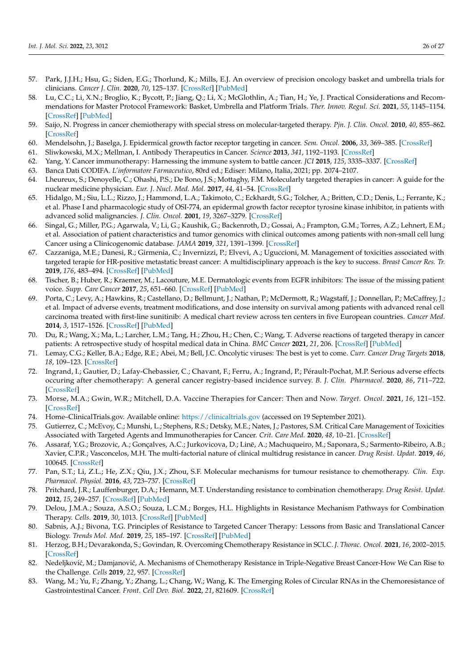- <span id="page-25-0"></span>57. Park, J.J.H.; Hsu, G.; Siden, E.G.; Thorlund, K.; Mills, E.J. An overview of precision oncology basket and umbrella trials for clinicians. *Cancer J. Clin.* **2020**, *70*, 125–137. [\[CrossRef\]](http://doi.org/10.3322/caac.21600) [\[PubMed\]](http://www.ncbi.nlm.nih.gov/pubmed/32031692)
- <span id="page-25-1"></span>58. Lu, C.C.; Li, X.N.; Broglio, K.; Bycott, P.; Jiang, Q.; Li, X.; McGlothlin, A.; Tian, H.; Ye, J. Practical Considerations and Recommendations for Master Protocol Framework: Basket, Umbrella and Platform Trials. *Ther. Innov. Regul. Sci.* **2021**, *55*, 1145–1154. [\[CrossRef\]](http://doi.org/10.1007/s43441-021-00315-7) [\[PubMed\]](http://www.ncbi.nlm.nih.gov/pubmed/34160785)
- <span id="page-25-2"></span>59. Saijo, N. Progress in cancer chemiotherapy with special stress on molecular-targeted therapy. *Pjn. J. Clin. Oncol.* **2010**, *40*, 855–862. [\[CrossRef\]](http://doi.org/10.1093/jjco/hyq035)
- <span id="page-25-3"></span>60. Mendelsohn, J.; Baselga, J. Epidermical growth factor receptor targeting in cancer. *Sem. Oncol.* **2006**, *33*, 369–385. [\[CrossRef\]](http://doi.org/10.1053/j.seminoncol.2006.04.003)
- <span id="page-25-4"></span>61. Sliwkowski, M.X.; Mellman, I. Antibody Therapeutics in Cancer. *Science* **2013**, *341*, 1192–1193. [\[CrossRef\]](http://doi.org/10.1126/science.1241145)
- <span id="page-25-5"></span>62. Yang, Y. Cancer immunotherapy: Harnessing the immune system to battle cancer. *JCI* **2015**, *125*, 3335–3337. [\[CrossRef\]](http://doi.org/10.1172/JCI83871)
- <span id="page-25-6"></span>63. Banca Dati CODIFA. *L'informatore Farmaceutico*, 80rd ed.; Ediser: Milano, Italia, 2021; pp. 2074–2107.
- <span id="page-25-7"></span>64. Lheureux, S.; Denoyelle, C.; Ohashi, P.S.; De Bono, J.S.; Mottaghy, F.M. Molecularly targeted therapies in cancer: A guide for the nuclear medicine physician. *Eur. J. Nucl. Med. Mol.* **2017**, *44*, 41–54. [\[CrossRef\]](http://doi.org/10.1007/s00259-017-3695-3)
- <span id="page-25-8"></span>65. Hidalgo, M.; Siu, L.L.; Rizzo, J.; Hammond, L.A.; Takimoto, C.; Eckhardt, S.G.; Tolcher, A.; Britten, C.D.; Denis, L.; Ferrante, K.; et al. Phase I and pharmacologic study of OSI-774, an epidermal growth factor receptor tyrosine kinase inhibitor, in patients with advanced solid malignancies. *J. Clin. Oncol.* **2001**, *19*, 3267–3279. [\[CrossRef\]](http://doi.org/10.1200/JCO.2001.19.13.3267)
- <span id="page-25-26"></span><span id="page-25-9"></span>66. Singal, G.; Miller, P.G.; Agarwala, V.; Li, G.; Kaushik, G.; Backenroth, D.; Gossai, A.; Frampton, G.M.; Torres, A.Z.; Lehnert, E.M.; et al. Association of patient characteristics and tumor genomics with clinical outcomes among patients with non-small cell lung Cancer using a Clinicogenomic database. *JAMA* **2019**, *321*, 1391–1399. [\[CrossRef\]](http://doi.org/10.1001/jama.2019.3241)
- <span id="page-25-10"></span>67. Cazzaniga, M.E.; Danesi, R.; Girmenia, C.; Invernizzi, P.; Elvevi, A.; Uguccioni, M. Management of toxicities associated with targeted terapie for HR-positive metastatic breast cancer: A multidisciplinary approach is the key to success. *Breast Cancer Res. Tr.* **2019**, *176*, 483–494. [\[CrossRef\]](http://doi.org/10.1007/s10549-019-05261-5) [\[PubMed\]](http://www.ncbi.nlm.nih.gov/pubmed/31065872)
- <span id="page-25-11"></span>68. Tischer, B.; Huber, R.; Kraemer, M.; Lacouture, M.E. Dermatologic events from EGFR inhibitors: The issue of the missing patient voice. *Supp. Care Cancer* **2017**, *25*, 651–660. [\[CrossRef\]](http://doi.org/10.1007/s00520-016-3419-4) [\[PubMed\]](http://www.ncbi.nlm.nih.gov/pubmed/27718067)
- <span id="page-25-12"></span>69. Porta, C.; Levy, A.; Hawkins, R.; Castellano, D.; Bellmunt, J.; Nathan, P.; McDermott, R.; Wagstaff, J.; Donnellan, P.; McCaffrey, J.; et al. Impact of adverse events, treatment modifications, and dose intensity on survival among patients with advanced renal cell carcinoma treated with first-line sunitinib: A medical chart review across ten centers in five European countries. *Cancer Med.* **2014**, *3*, 1517–1526. [\[CrossRef\]](http://doi.org/10.1002/cam4.302) [\[PubMed\]](http://www.ncbi.nlm.nih.gov/pubmed/25045157)
- <span id="page-25-13"></span>70. Du, R.; Wang, X.; Ma, L.; Larcher, L.M.; Tang, H.; Zhou, H.; Chen, C.; Wang, T. Adverse reactions of targeted therapy in cancer patients: A retrospective study of hospital medical data in China. *BMC Cancer* **2021**, *21*, 206. [\[CrossRef\]](http://doi.org/10.1186/s12885-021-07946-x) [\[PubMed\]](http://www.ncbi.nlm.nih.gov/pubmed/33639888)
- <span id="page-25-14"></span>71. Lemay, C.G.; Keller, B.A.; Edge, R.E.; Abei, M.; Bell, J.C. Oncolytic viruses: The best is yet to come. *Curr. Cancer Drug Targets* **2018**, *18*, 109–123. [\[CrossRef\]](http://doi.org/10.2174/1568009617666170206111609)
- <span id="page-25-15"></span>72. Ingrand, I.; Gautier, D.; Lafay-Chebassier, C.; Chavant, F.; Ferru, A.; Ingrand, P.; Pérault-Pochat, M.P. Serious adverse effects occuring after chemotherapy: A general cancer registry-based incidence survey. *B. J. Clin. Pharmacol.* **2020**, *86*, 711–722. [\[CrossRef\]](http://doi.org/10.1111/bcp.14159)
- <span id="page-25-16"></span>73. Morse, M.A.; Gwin, W.R.; Mitchell, D.A. Vaccine Therapies for Cancer: Then and Now. *Target. Oncol.* **2021**, *16*, 121–152. [\[CrossRef\]](http://doi.org/10.1007/s11523-020-00788-w)
- <span id="page-25-17"></span>74. Home–ClinicalTrials.gov. Available online: <https://clinicaltrials.gov> (accessed on 19 September 2021).
- <span id="page-25-18"></span>75. Gutierrez, C.; McEvoy, C.; Munshi, L.; Stephens, R.S.; Detsky, M.E.; Nates, J.; Pastores, S.M. Critical Care Management of Toxicities Associated with Targeted Agents and Immunotherapies for Cancer. *Crit. Care Med.* **2020**, *48*, 10–21. [\[CrossRef\]](http://doi.org/10.1097/CCM.0000000000004087)
- <span id="page-25-19"></span>76. Assaraf, Y.G.; Brozovic, A.; Gonçalves, A.C.; Jurkovicova, D.; Line, A.; Machuqueiro, M.; Saponara, S.; Sarmento-Ribeiro, A.B.; ¯ Xavier, C.P.R.; Vasconcelos, M.H. The multi-factorial nature of clinical multidrug resistance in cancer. *Drug Resist. Updat.* **2019**, *46*, 100645. [\[CrossRef\]](http://doi.org/10.1016/j.drup.2019.100645)
- <span id="page-25-20"></span>77. Pan, S.T.; Li, Z.L.; He, Z.X.; Qiu, J.X.; Zhou, S.F. Molecular mechanisms for tumour resistance to chemotherapy. *Clin. Exp. Pharmacol. Physiol.* **2016**, *43*, 723–737. [\[CrossRef\]](http://doi.org/10.1111/1440-1681.12581)
- <span id="page-25-21"></span>78. Pritchard, J.R.; Lauffenburger, D.A.; Hemann, M.T. Understanding resistance to combination chemotherapy. *Drug Resist. Updat.* **2012**, *15*, 249–257. [\[CrossRef\]](http://doi.org/10.1016/j.drup.2012.10.003) [\[PubMed\]](http://www.ncbi.nlm.nih.gov/pubmed/23164555)
- <span id="page-25-22"></span>79. Delou, J.M.A.; Souza, A.S.O.; Souza, L.C.M.; Borges, H.L. Highlights in Resistance Mechanism Pathways for Combination Therapy. *Cells.* **2019**, *30*, 1013. [\[CrossRef\]](http://doi.org/10.3390/cells8091013) [\[PubMed\]](http://www.ncbi.nlm.nih.gov/pubmed/31480389)
- <span id="page-25-23"></span>80. Sabnis, A.J.; Bivona, T.G. Principles of Resistance to Targeted Cancer Therapy: Lessons from Basic and Translational Cancer Biology. *Trends Mol. Med.* **2019**, *25*, 185–197. [\[CrossRef\]](http://doi.org/10.1016/j.molmed.2018.12.009) [\[PubMed\]](http://www.ncbi.nlm.nih.gov/pubmed/30686761)
- <span id="page-25-24"></span>81. Herzog, B.H.; Devarakonda, S.; Govindan, R. Overcoming Chemotherapy Resistance in SCLC. *J. Thorac. Oncol.* **2021**, *16*, 2002–2015. [\[CrossRef\]](http://doi.org/10.1016/j.jtho.2021.07.018)
- 82. Nedeljković, M.; Damjanović, A. Mechanisms of Chemotherapy Resistance in Triple-Negative Breast Cancer-How We Can Rise to the Challenge. *Cells* **2019**, *22*, 957. [\[CrossRef\]](http://doi.org/10.3390/cells8090957)
- <span id="page-25-25"></span>83. Wang, M.; Yu, F.; Zhang, Y.; Zhang, L.; Chang, W.; Wang, K. The Emerging Roles of Circular RNAs in the Chemoresistance of Gastrointestinal Cancer. *Front. Cell Dev. Biol.* **2022**, *21*, 821609. [\[CrossRef\]](http://doi.org/10.3389/fcell.2022.821609)